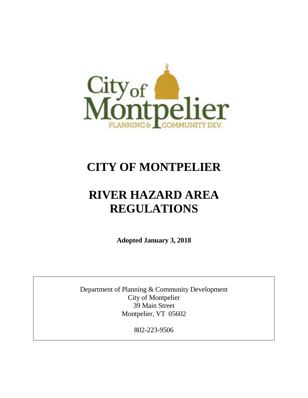

## **CITY OF MONTPELIER**

# **RIVER HAZARD AREA REGULATIONS**

**Adopted January 3, 2018**

Department of Planning & Community Development City of Montpelier 39 Main Street Montpelier, VT 05602

802-223-9506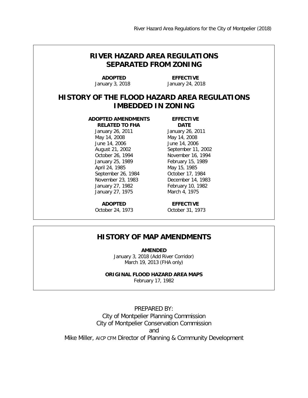### **RIVER HAZARD AREA REGULATIONS SEPARATED FROM ZONING**

**ADOPTED EFFECTIVE**

January 3, 2018 January 24, 2018

### **HISTORY OF THE FLOOD HAZARD AREA REGULATIONS IMBEDDED IN ZONING**

### **ADOPTED AMENDMENTS EFFECTIVE**

January 26, 2011 January 26, 2011 May 14, 2008 May 14, 2008 June 14, 2006 June 14, 2006 August 21, 2002 September 11, 2002 October 26, 1994 November 16, 1994 January 25, 1989<br>April 24, 1985 September 26, 1984<br>
November 23, 1983<br>
December 14, 1983 November 23, 1983 January 27, 1982 February 10, 1982 January 27, 1975 March 4, 1975

October 24, 1973 October 31, 1973

## **RELATED TO FHA DATE**

May 15, 1985<br>October 17, 1984

#### **ADOPTED EFFECTIVE**

### **HISTORY OF MAP AMENDMENTS**

**AMENDED**  January 3, 2018 (Add River Corridor) March 19, 2013 (FHA only)

#### **ORIGINAL FLOOD HAZARD AREA MAPS**

February 17, 1982

PREPARED BY: City of Montpelier Planning Commission City of Montpelier Conservation Commission and Mike Miller, AICP CFM Director of Planning & Community Development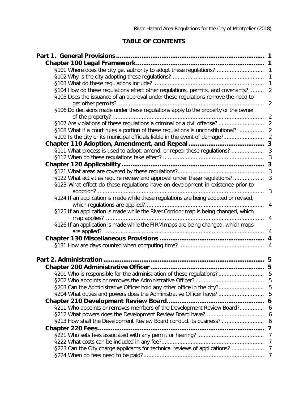### **TABLE OF CONTENTS**

| §101 Where does the city get authority to adopt these regulations? 1                 |                |
|--------------------------------------------------------------------------------------|----------------|
|                                                                                      |                |
|                                                                                      |                |
| §104 How do these regulations effect other regulations, permits, and covenants?  2   |                |
| §105 Does the issuance of an approval under these regulations remove the need to     |                |
|                                                                                      |                |
| §106 Do decisions made under these regulations apply to the property or the owner    |                |
|                                                                                      |                |
|                                                                                      |                |
| §108 What if a court rules a portion of these regulations is unconstitutional?  2    |                |
|                                                                                      |                |
|                                                                                      |                |
|                                                                                      |                |
|                                                                                      |                |
|                                                                                      |                |
|                                                                                      |                |
| §122 What activities require review and approval under these regulations?            | $\mathfrak{Z}$ |
| §123 What effect do these regulations have on development in existence prior to      | 3              |
| §124 If an application is made while these regulations are being adopted or revised, |                |
|                                                                                      |                |
| §125 If an application is made while the River Corridor map is being changed, which  | 4              |
| §126 If an application is made while the FIRM maps are being changed, which maps     |                |
|                                                                                      |                |
|                                                                                      |                |
|                                                                                      |                |
|                                                                                      |                |
| Part 2. Administration                                                               |                |
|                                                                                      |                |
| §201 Who is responsible for the administration of these regulations? 5               |                |
|                                                                                      |                |
|                                                                                      |                |
| §204 What duties and powers does the Administrative Officer have?  5                 |                |
|                                                                                      |                |
| §211 Who appoints or removes members of the Development Review Board? 6              |                |
|                                                                                      |                |
| §213 How shall the Development Review Board conduct its business?  6                 |                |
| <b>Chapter 220 Fees</b>                                                              |                |
|                                                                                      |                |
|                                                                                      |                |
| §223 Can the City charge applicants for technical reviews of applications?           |                |
|                                                                                      |                |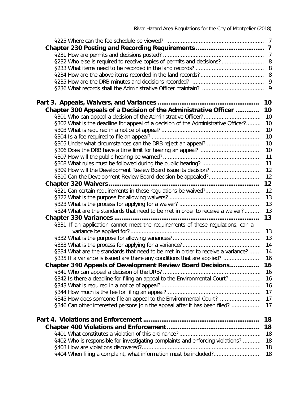| §232 Who else is required to receive copies of permits and decisions? 8              |    |
|--------------------------------------------------------------------------------------|----|
|                                                                                      |    |
|                                                                                      |    |
|                                                                                      |    |
|                                                                                      |    |
|                                                                                      |    |
|                                                                                      | 10 |
| Chapter 300 Appeals of a Decision of the Administrative Officer  10                  |    |
|                                                                                      |    |
| §302 What is the deadline for appeal of a decision of the Administrative Officer? 10 |    |
|                                                                                      | 10 |
|                                                                                      |    |
|                                                                                      | 10 |
|                                                                                      | 10 |
|                                                                                      | 11 |
|                                                                                      | 11 |
|                                                                                      | 12 |
|                                                                                      | 12 |
|                                                                                      |    |
|                                                                                      |    |
|                                                                                      | 13 |
|                                                                                      | 13 |
| §324 What are the standards that need to be met in order to receive a waiver?        | 13 |
|                                                                                      | 13 |
| §331 If an application cannot meet the requirements of these regulations, can a      |    |
|                                                                                      |    |
|                                                                                      |    |
|                                                                                      |    |
| §334 What are the standards that need to be met in order to receive a variance?  14  |    |
| §335 If a variance is issued are there any conditions that are applied?  16          |    |
| Chapter 340 Appeals of Development Review Board Decisions                            | 16 |
|                                                                                      |    |
| §342 Is there a deadline for filing an appeal to the Environmental Court?  16        |    |
|                                                                                      | 16 |
|                                                                                      | 17 |
| §345 How does someone file an appeal to the Environmental Court?                     | 17 |
| §346 Can other interested persons join the appeal after it has been filed?           | 17 |
|                                                                                      |    |
|                                                                                      | 18 |
|                                                                                      | 18 |
|                                                                                      | 18 |
| §402 Who is responsible for investigating complaints and enforcing violations?       | 18 |
|                                                                                      | 18 |
| §404 When filing a complaint, what information must be included?                     | 18 |
|                                                                                      |    |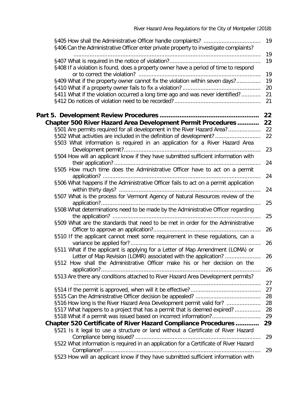|                                                                                       | 19 |
|---------------------------------------------------------------------------------------|----|
| §406 Can the Administrative Officer enter private property to investigate complaints? |    |
|                                                                                       | 19 |
|                                                                                       | 19 |
| §408 If a violation is found, does a property owner have a period of time to respond  |    |
|                                                                                       | 19 |
| §409 What if the property owner cannot fix the violation within seven days?           | 19 |
|                                                                                       | 20 |
| §411 What if the violation occurred a long time ago and was never identified?         | 21 |
|                                                                                       | 21 |
|                                                                                       | 22 |
| Chapter 500 River Hazard Area Development Permit Procedures                           | 22 |
| §501 Are permits required for all development in the River Hazard Area?               | 22 |
| §502 What activities are included in the definition of development?                   | 22 |
| §503 What information is required in an application for a River Hazard Area           |    |
|                                                                                       | 23 |
| §504 How will an applicant know if they have submitted sufficient information with    |    |
|                                                                                       | 24 |
| §505 How much time does the Administrative Officer have to act on a permit            |    |
|                                                                                       | 24 |
| §506 What happens if the Administrative Officer fails to act on a permit application  |    |
|                                                                                       | 24 |
| §507 What is the process for Vermont Agency of Natural Resources review of the        | 25 |
| §508 What determinations need to be made by the Administrative Officer regarding      |    |
|                                                                                       | 25 |
| §509 What are the standards that need to be met in order for the Administrative       |    |
|                                                                                       | 26 |
| §510 If the applicant cannot meet some requirement in these regulations, can a        |    |
|                                                                                       | 26 |
| §511 What if the applicant is applying for a Letter of Map Amendment (LOMA) or        |    |
| Letter of Map Revision (LOMR) associated with the application?                        | 26 |
| §512 How shall the Administrative Officer make his or her decision on the             |    |
|                                                                                       | 26 |
| §513 Are there any conditions attached to River Hazard Area Development permits?      |    |
|                                                                                       | 27 |
|                                                                                       | 27 |
|                                                                                       | 28 |
| §516 How long is the River Hazard Area Development permit valid for?                  | 28 |
| §517 What happens to a project that has a permit that is deemed expired?              | 28 |
| §518 What if a permit was issued based on incorrect information?                      | 29 |
| Chapter 520 Certificate of River Hazard Compliance Procedures                         | 29 |
| §521 Is it legal to use a structure or land without a Certificate of River Hazard     |    |
|                                                                                       | 29 |
| §522 What information is required in an application for a Certificate of River Hazard |    |
|                                                                                       | 29 |
| §523 How will an applicant know if they have submitted sufficient information with    |    |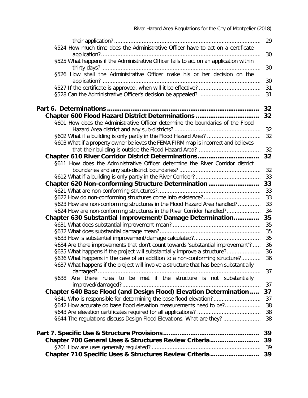|                                                                                                   | 29       |
|---------------------------------------------------------------------------------------------------|----------|
| §524 How much time does the Administrative Officer have to act on a certificate                   |          |
|                                                                                                   | 30       |
| §525 What happens if the Administrative Officer fails to act on an application within             | 30       |
| §526 How shall the Administrative Officer make his or her decision on the                         | 30       |
| §527 If the certificate is approved, when will it be effective?                                   | 31       |
|                                                                                                   | 31       |
|                                                                                                   | 32       |
|                                                                                                   | 32       |
| §601 How does the Administrative Officer determine the boundaries of the Flood                    |          |
|                                                                                                   | 32       |
| §602 What if a building is only partly in the Flood Hazard Area?                                  | 32       |
| §603 What if a property owner believes the FEMA FIRM map is incorrect and believes                |          |
|                                                                                                   | 32       |
| Chapter 610 River Corridor District Determinations                                                | 32       |
| §611 How does the Administrative Officer determine the River Corridor district                    |          |
|                                                                                                   |          |
|                                                                                                   |          |
| Chapter 620 Non-conforming Structure Determination                                                | 33       |
|                                                                                                   |          |
|                                                                                                   | 33       |
| §623 How are non-conforming structures in the Flood Hazard Area handled?                          |          |
| Chapter 630 Substantial Improvement/Damage Determination                                          | 35       |
|                                                                                                   |          |
|                                                                                                   |          |
|                                                                                                   |          |
| §634 Are there improvements that don't count towards 'substantial improvement'? 36                |          |
| §635 What happens if the project will substantially improve a structure?                          | 36       |
| §636 What happens in the case of an addition to a non-conforming structure?                       | 36       |
| §637 What happens if the project will involve a structure that has been substantially<br>damaged? | 37       |
| Are there rules to be met if the structure is not substantially<br>§638                           | 37       |
| Chapter 640 Base Flood (and Design Flood) Elevation Determination                                 | 37       |
|                                                                                                   |          |
| §642 How accurate do base flood elevation measurements need to be?                                | 38       |
|                                                                                                   | 38       |
| §644 The regulations discuss Design Flood Elevations. What are they?                              | 38       |
|                                                                                                   |          |
| Chapter 700 General Uses & Structures Review Criteria                                             | 39<br>39 |
|                                                                                                   |          |
|                                                                                                   |          |
|                                                                                                   |          |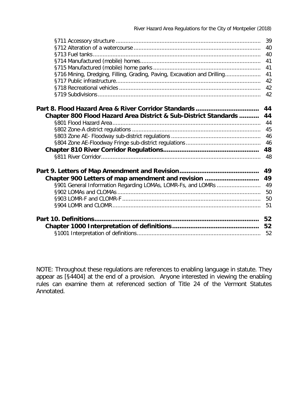|                                                                          | 41 |
|--------------------------------------------------------------------------|----|
|                                                                          | 41 |
| §716 Mining, Dredging, Filling, Grading, Paving, Excavation and Drilling | 41 |
|                                                                          | 42 |
|                                                                          | 42 |
|                                                                          | 42 |
|                                                                          |    |
| Part 8. Flood Hazard Area & River Corridor Standards                     | 44 |
| Chapter 800 Flood Hazard Area District & Sub-District Standards          | 44 |
|                                                                          |    |
|                                                                          |    |
|                                                                          | 46 |
|                                                                          |    |
|                                                                          | 48 |
|                                                                          | 48 |
|                                                                          | 49 |
| Chapter 900 Letters of map amendment and revision                        | 49 |
|                                                                          | 49 |
| §901 General Information Regarding LOMAs, LOMR-Fs, and LOMRs             | 50 |
|                                                                          | 50 |
|                                                                          | 51 |
|                                                                          |    |
|                                                                          |    |
|                                                                          |    |
|                                                                          |    |
|                                                                          |    |

NOTE: Throughout these regulations are references to enabling language in statute. They appear as [§4404] at the end of a provision. Anyone interested in viewing the enabling rules can examine them at referenced section of Title 24 of the Vermont Statutes Annotated.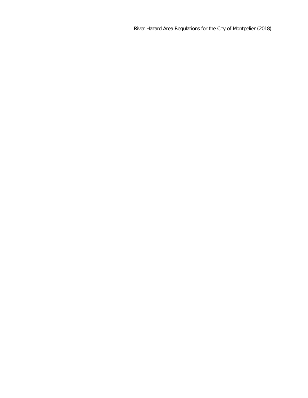River Hazard Area Regulations for the City of Montpelier (2018)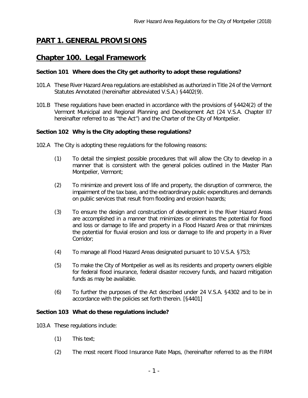### **PART 1. GENERAL PROVISIONS**

### **Chapter 100. Legal Framework**

### **Section 101 Where does the City get authority to adopt these regulations?**

- 101.A These River Hazard Area regulations are established as authorized in Title 24 of the Vermont Statutes Annotated (hereinafter abbreviated V.S.A.) §4402(9).
- 101.B These regulations have been enacted in accordance with the provisions of §4424(2) of the Vermont Municipal and Regional Planning and Development Act (24 V.S.A. Chapter ll7 hereinafter referred to as "the Act") and the Charter of the City of Montpelier.

### **Section 102 Why is the City adopting these regulations?**

- 102.A The City is adopting these regulations for the following reasons:
	- (1) To detail the simplest possible procedures that will allow the City to develop in a manner that is consistent with the general policies outlined in the Master Plan Montpelier, Vermont;
	- (2) To minimize and prevent loss of life and property, the disruption of commerce, the impairment of the tax base, and the extraordinary public expenditures and demands on public services that result from flooding and erosion hazards;
	- (3) To ensure the design and construction of development in the River Hazard Areas are accomplished in a manner that minimizes or eliminates the potential for flood and loss or damage to life and property in a Flood Hazard Area or that minimizes the potential for fluvial erosion and loss or damage to life and property in a River Corridor;
	- (4) To manage all Flood Hazard Areas designated pursuant to 10 V.S.A. §753;
	- (5) To make the City of Montpelier as well as its residents and property owners eligible for federal flood insurance, federal disaster recovery funds, and hazard mitigation funds as may be available.
	- (6) To further the purposes of the Act described under 24 V.S.A. §4302 and to be in accordance with the policies set forth therein. [§4401]

### **Section 103 What do these regulations include?**

103.A These regulations include:

- (1) This text;
- (2) The most recent Flood Insurance Rate Maps, (hereinafter referred to as the FIRM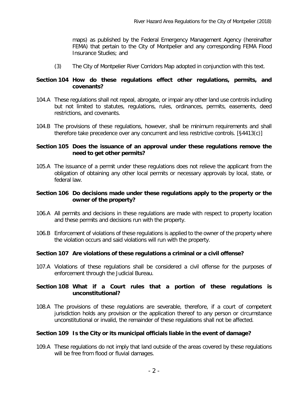maps) as published by the Federal Emergency Management Agency (hereinafter FEMA) that pertain to the City of Montpelier and any corresponding FEMA Flood Insurance Studies; and

(3) The City of Montpelier River Corridors Map adopted in conjunction with this text.

### **Section 104 How do these regulations effect other regulations, permits, and covenants?**

- 104.A These regulations shall not repeal, abrogate, or impair any other land use controls including but not limited to statutes, regulations, rules, ordinances, permits, easements, deed restrictions, and covenants.
- 104.B The provisions of these regulations, however, shall be minimum requirements and shall therefore take precedence over any concurrent and less restrictive controls. [§4413(c)]

### **Section 105 Does the issuance of an approval under these regulations remove the need to get other permits?**

105.A The issuance of a permit under these regulations does not relieve the applicant from the obligation of obtaining any other local permits or necessary approvals by local, state, or federal law.

#### **Section 106 Do decisions made under these regulations apply to the property or the owner of the property?**

- 106.A All permits and decisions in these regulations are made with respect to property location and these permits and decisions run with the property.
- 106.B Enforcement of violations of these regulations is applied to the owner of the property where the violation occurs and said violations will run with the property.

### **Section 107 Are violations of these regulations a criminal or a civil offense?**

107.A Violations of these regulations shall be considered a civil offense for the purposes of enforcement through the Judicial Bureau.

#### **Section 108 What if a Court rules that a portion of these regulations is unconstitutional?**

108.A The provisions of these regulations are severable, therefore, if a court of competent jurisdiction holds any provision or the application thereof to any person or circumstance unconstitutional or invalid, the remainder of these regulations shall not be affected.

#### **Section 109 Is the City or its municipal officials liable in the event of damage?**

109.A These regulations do not imply that land outside of the areas covered by these regulations will be free from flood or fluvial damages.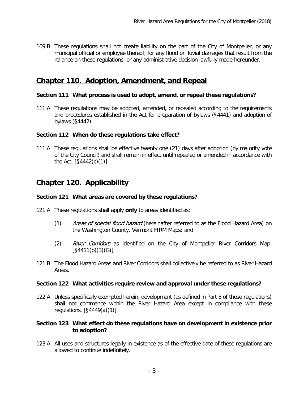109.B These regulations shall not create liability on the part of the City of Montpelier, or any municipal official or employee thereof, for any flood or fluvial damages that result from the reliance on these regulations, or any administrative decision lawfully made hereunder.

### **Chapter 110. Adoption, Amendment, and Repeal**

### **Section 111 What process is used to adopt, amend, or repeal these regulations?**

111.A These regulations may be adopted, amended, or repealed according to the requirements and procedures established in the Act for preparation of bylaws (§4441) and adoption of bylaws (§4442).

### **Section 112 When do these regulations take effect?**

111.A These regulations shall be effective twenty one (21) days after adoption (by majority vote of the City Council) and shall remain in effect until repealed or amended in accordance with the Act. [§4442(c)(1)]

### **Chapter 120. Applicability**

### **Section 121 What areas are covered by these regulations?**

121.A These regulations shall apply **only** to areas identified as:

- (1) Areas of special flood hazard (hereinafter referred to as the Flood Hazard Area) on the Washington County, Vermont FIRM Maps; and
- (2) River Corridors as identified on the City of Montpelier River Corridors Map. [§4411(b)(3)(G)]
- 121.B The Flood Hazard Areas and River Corridors shall collectively be referred to as River Hazard Areas.

### **Section 122 What activities require review and approval under these regulations?**

122.A Unless specifically exempted herein, development (as defined in Part 5 of these regulations) shall not commence within the River Hazard Area except in compliance with these regulations. [§4449(a)(1)]

### **Section 123 What effect do these regulations have on development in existence prior to adoption?**

123.A All uses and structures legally in existence as of the effective date of these regulations are allowed to continue indefinitely.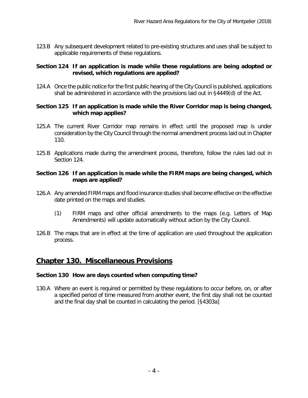123.B Any subsequent development related to pre-existing structures and uses shall be subject to applicable requirements of these regulations.

### **Section 124 If an application is made while these regulations are being adopted or revised, which regulations are applied?**

124.A Once the public notice for the first public hearing of the City Council is published, applications shall be administered in accordance with the provisions laid out in §4449(d) of the Act.

### **Section 125 If an application is made while the River Corridor map is being changed, which map applies?**

- 125.A The current River Corridor map remains in effect until the proposed map is under consideration by the City Council through the normal amendment process laid out in Chapter 110.
- 125.B Applications made during the amendment process, therefore, follow the rules laid out in Section 124.

### **Section 126 If an application is made while the FIRM maps are being changed, which maps are applied?**

- 126.A Any amended FIRM maps and flood insurance studies shall become effective on the effective date printed on the maps and studies.
	- (1) FIRM maps and other official amendments to the maps (e.g. Letters of Map Amendments) will update automatically without action by the City Council.
- 126.B The maps that are in effect at the time of application are used throughout the application process.

### **Chapter 130. Miscellaneous Provisions**

### **Section 130 How are days counted when computing time?**

130.A Where an event is required or permitted by these regulations to occur before, on, or after a specified period of time measured from another event, the first day shall not be counted and the final day shall be counted in calculating the period. [§4303a]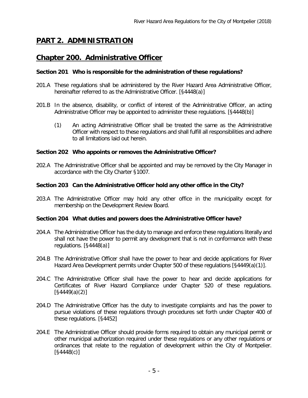### **PART 2. ADMINISTRATION**

### **Chapter 200. Administrative Officer**

### **Section 201 Who is responsible for the administration of these regulations?**

- 201.A These regulations shall be administered by the River Hazard Area Administrative Officer, hereinafter referred to as the Administrative Officer. [§4448(a)]
- 201.B In the absence, disability, or conflict of interest of the Administrative Officer, an acting Administrative Officer may be appointed to administer these regulations. [§4448(b)]
	- (1) An acting Administrative Officer shall be treated the same as the Administrative Officer with respect to these regulations and shall fulfill all responsibilities and adhere to all limitations laid out herein.

### **Section 202 Who appoints or removes the Administrative Officer?**

202.A The Administrative Officer shall be appointed and may be removed by the City Manager in accordance with the City Charter §1007.

### **Section 203 Can the Administrative Officer hold any other office in the City?**

203.A The Administrative Officer may hold any other office in the municipality except for membership on the Development Review Board.

### **Section 204 What duties and powers does the Administrative Officer have?**

- 204.A The Administrative Officer has the duty to manage and enforce these regulations literally and shall not have the power to permit any development that is not in conformance with these regulations. [§4448(a)]
- 204.B The Administrative Officer shall have the power to hear and decide applications for River Hazard Area Development permits under Chapter 500 of these regulations [§4449(a)(1)].
- 204.C The Administrative Officer shall have the power to hear and decide applications for Certificates of River Hazard Compliance under Chapter 520 of these regulations. [§4449(a)(2)]
- 204.D The Administrative Officer has the duty to investigate complaints and has the power to pursue violations of these regulations through procedures set forth under Chapter 400 of these regulations. [§4452]
- 204.E The Administrative Officer should provide forms required to obtain any municipal permit or other municipal authorization required under these regulations or any other regulations or ordinances that relate to the regulation of development within the City of Montpelier. [§4448(c)]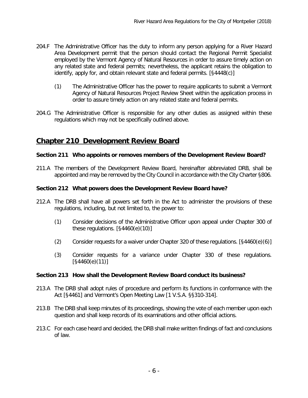- 204.F The Administrative Officer has the duty to inform any person applying for a River Hazard Area Development permit that the person should contact the Regional Permit Specialist employed by the Vermont Agency of Natural Resources in order to assure timely action on any related state and federal permits; nevertheless, the applicant retains the obligation to identify, apply for, and obtain relevant state and federal permits. [§4448(c)]
	- (1) The Administrative Officer has the power to require applicants to submit a Vermont Agency of Natural Resources Project Review Sheet within the application process in order to assure timely action on any related state and federal permits.
- 204.G The Administrative Officer is responsible for any other duties as assigned within these regulations which may not be specifically outlined above.

### **Chapter 210 Development Review Board**

### **Section 211 Who appoints or removes members of the Development Review Board?**

211.A The members of the Development Review Board, hereinafter abbreviated DRB, shall be appointed and may be removed by the City Council in accordance with the City Charter §806.

### **Section 212 What powers does the Development Review Board have?**

- 212.A The DRB shall have all powers set forth in the Act to administer the provisions of these regulations, including, but not limited to, the power to:
	- (1) Consider decisions of the Administrative Officer upon appeal under Chapter 300 of these regulations. [§4460(e)(10)]
	- (2) Consider requests for a waiver under Chapter 320 of these regulations.  $[§4460(e)(6)]$
	- (3) Consider requests for a variance under Chapter 330 of these regulations. [§4460(e)(11)]

### **Section 213 How shall the Development Review Board conduct its business?**

- 213.A The DRB shall adopt rules of procedure and perform its functions in conformance with the Act [§4461] and Vermont's Open Meeting Law [1 V.S.A. §§310-314].
- 213.B The DRB shall keep minutes of its proceedings, showing the vote of each member upon each question and shall keep records of its examinations and other official actions.
- 213.C For each case heard and decided, the DRB shall make written findings of fact and conclusions of law.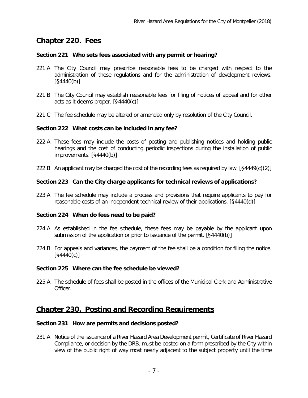### **Chapter 220. Fees**

### **Section 221 Who sets fees associated with any permit or hearing?**

- 221.A The City Council may prescribe reasonable fees to be charged with respect to the administration of these regulations and for the administration of development reviews. [§4440(b)]
- 221.B The City Council may establish reasonable fees for filing of notices of appeal and for other acts as it deems proper. [§4440(c)]
- 221.C The fee schedule may be altered or amended only by resolution of the City Council.

### **Section 222 What costs can be included in any fee?**

- 222.A These fees may include the costs of posting and publishing notices and holding public hearings and the cost of conducting periodic inspections during the installation of public improvements. [§4440(b)]
- 222.B An applicant may be charged the cost of the recording fees as required by law. [§4449(c)(2)]

### **Section 223 Can the City charge applicants for technical reviews of applications?**

223.A The fee schedule may include a process and provisions that require applicants to pay for reasonable costs of an independent technical review of their applications. [§4440(d)]

### **Section 224 When do fees need to be paid?**

- 224.A As established in the fee schedule, these fees may be payable by the applicant upon submission of the application or prior to issuance of the permit. [§4440(b)]
- 224.B For appeals and variances, the payment of the fee shall be a condition for filing the notice. [§4440(c)]

### **Section 225 Where can the fee schedule be viewed?**

225.A The schedule of fees shall be posted in the offices of the Municipal Clerk and Administrative Officer.

### **Chapter 230. Posting and Recording Requirements**

### **Section 231 How are permits and decisions posted?**

231.A Notice of the issuance of a River Hazard Area Development permit, Certificate of River Hazard Compliance, or decision by the DRB, must be posted on a form prescribed by the City within view of the public right of way most nearly adjacent to the subject property until the time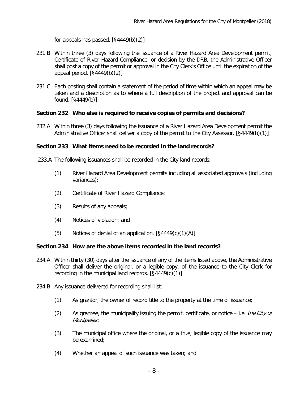for appeals has passed. [§4449(b)(2)]

- 231.B Within three (3) days following the issuance of a River Hazard Area Development permit, Certificate of River Hazard Compliance, or decision by the DRB, the Administrative Officer shall post a copy of the permit or approval in the City Clerk's Office until the expiration of the appeal period. [§4449(b)(2)]
- 231.C Each posting shall contain a statement of the period of time within which an appeal may be taken and a description as to where a full description of the project and approval can be found. [§4449(b)]

### **Section 232 Who else is required to receive copies of permits and decisions?**

232.A Within three (3) days following the issuance of a River Hazard Area Development permit the Administrative Officer shall deliver a copy of the permit to the City Assessor. [§4449(b)(1)]

#### **Section 233 What items need to be recorded in the land records?**

233.A The following issuances shall be recorded in the City land records:

- (1) River Hazard Area Development permits including all associated approvals (including variances);
- (2) Certificate of River Hazard Compliance;
- (3) Results of any appeals;
- (4) Notices of violation; and
- (5) Notices of denial of an application.  $[§4449(c)(1)(A)]$

#### **Section 234 How are the above items recorded in the land records?**

- 234.A Within thirty (30) days after the issuance of any of the items listed above, the Administrative Officer shall deliver the original, or a legible copy, of the issuance to the City Clerk for recording in the municipal land records. [§4449(c)(1)]
- 234.B Any issuance delivered for recording shall list:
	- (1) As grantor, the owner of record title to the property at the time of issuance;
	- (2) As grantee, the municipality issuing the permit, certificate, or notice  $-$  i.e. the City of Montpelier;
	- (3) The municipal office where the original, or a true, legible copy of the issuance may be examined;
	- (4) Whether an appeal of such issuance was taken; and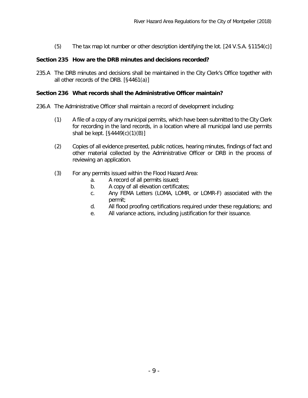(5) The tax map lot number or other description identifying the lot. [24 V.S.A. §1154(c)]

#### **Section 235 How are the DRB minutes and decisions recorded?**

235.A The DRB minutes and decisions shall be maintained in the City Clerk's Office together with all other records of the DRB. [§4461(a)]

#### **Section 236 What records shall the Administrative Officer maintain?**

- 236.A The Administrative Officer shall maintain a record of development including:
	- (1) A file of a copy of any municipal permits, which have been submitted to the City Clerk for recording in the land records, in a location where all municipal land use permits shall be kept. [§4449(c)(1)(B)]
	- (2) Copies of all evidence presented, public notices, hearing minutes, findings of fact and other material collected by the Administrative Officer or DRB in the process of reviewing an application.
	- (3) For any permits issued within the Flood Hazard Area:
		- a. A record of all permits issued;
		- b. A copy of all elevation certificates;
		- c. Any FEMA Letters (LOMA, LOMR, or LOMR-F) associated with the permit;
		- d. All flood proofing certifications required under these regulations; and
		- e. All variance actions, including justification for their issuance.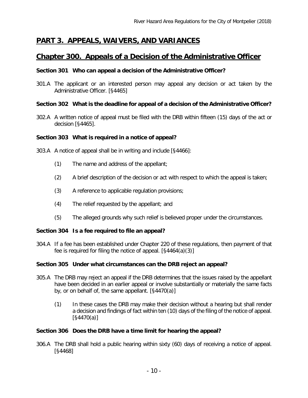### **PART 3. APPEALS, WAIVERS, AND VARIANCES**

### **Chapter 300. Appeals of a Decision of the Administrative Officer**

### **Section 301 Who can appeal a decision of the Administrative Officer?**

301.A The applicant or an interested person may appeal any decision or act taken by the Administrative Officer. [§4465]

### **Section 302 What is the deadline for appeal of a decision of the Administrative Officer?**

302.A A written notice of appeal must be filed with the DRB within fifteen (15) days of the act or decision [§4465].

### **Section 303 What is required in a notice of appeal?**

303.A A notice of appeal shall be in writing and include [§4466]:

- (1) The name and address of the appellant;
- (2) A brief description of the decision or act with respect to which the appeal is taken;
- (3) A reference to applicable regulation provisions;
- (4) The relief requested by the appellant; and
- (5) The alleged grounds why such relief is believed proper under the circumstances.

### **Section 304 Is a fee required to file an appeal?**

304.A If a fee has been established under Chapter 220 of these regulations, then payment of that fee is required for filing the notice of appeal. [§4464(a)(3)]

### **Section 305 Under what circumstances can the DRB reject an appeal?**

- 305.A The DRB may reject an appeal if the DRB determines that the issues raised by the appellant have been decided in an earlier appeal or involve substantially or materially the same facts by, or on behalf of, the same appellant. [§4470(a)]
	- (1) In these cases the DRB may make their decision without a hearing but shall render a decision and findings of fact within ten (10) days of the filing of the notice of appeal. [§4470(a)]

### **Section 306 Does the DRB have a time limit for hearing the appeal?**

306.A The DRB shall hold a public hearing within sixty (60) days of receiving a notice of appeal. [§4468]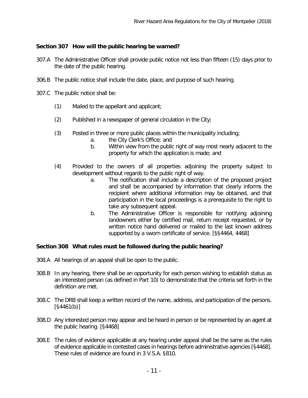### **Section 307 How will the public hearing be warned?**

- 307.A The Administrative Officer shall provide public notice not less than fifteen (15) days prior to the date of the public hearing.
- 306.B The public notice shall include the date, place, and purpose of such hearing.
- 307.C The public notice shall be:
	- (1) Mailed to the appellant and applicant;
	- (2) Published in a newspaper of general circulation in the City;
	- (3) Posted in three or more public places within the municipality including;
		- a. the City Clerk's Office; and
		- b. Within view from the public right of way most nearly adjacent to the property for which the application is made; and
	- (4) Provided to the owners of all properties adjoining the property subject to development without regards to the public right of way.
		- a. The notification shall include a description of the proposed project and shall be accompanied by information that clearly informs the recipient where additional information may be obtained, and that participation in the local proceedings is a prerequisite to the right to take any subsequent appeal.
		- b. The Administrative Officer is responsible for notifying adjoining landowners either by certified mail, return receipt requested, or by written notice hand delivered or mailed to the last known address supported by a sworn certificate of service. [§§4464, 4468]

### **Section 308 What rules must be followed during the public hearing?**

- 308.A All hearings of an appeal shall be open to the public.
- 308.B In any hearing, there shall be an opportunity for each person wishing to establish status as an interested person (as defined in Part 10) to demonstrate that the criteria set forth in the definition are met.
- 308.C The DRB shall keep a written record of the name, address, and participation of the persons. [§4461(b)]
- 308.D Any interested person may appear and be heard in person or be represented by an agent at the public hearing. [§4468]
- 308.E The rules of evidence applicable at any hearing under appeal shall be the same as the rules of evidence applicable in contested cases in hearings before administrative agencies [§4468]. These rules of evidence are found in 3 V.S.A. §810.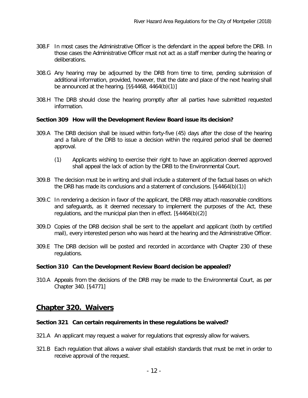- 308.F In most cases the Administrative Officer is the defendant in the appeal before the DRB. In those cases the Administrative Officer must not act as a staff member during the hearing or deliberations.
- 308.G Any hearing may be adjourned by the DRB from time to time, pending submission of additional information, provided, however, that the date and place of the next hearing shall be announced at the hearing. [§§4468, 4464(b)(1)]
- 308.H The DRB should close the hearing promptly after all parties have submitted requested information.

### **Section 309 How will the Development Review Board issue its decision?**

- 309.A The DRB decision shall be issued within forty-five (45) days after the close of the hearing and a failure of the DRB to issue a decision within the required period shall be deemed approval.
	- (1) Applicants wishing to exercise their right to have an application deemed approved shall appeal the lack of action by the DRB to the Environmental Court.
- 309.B The decision must be in writing and shall include a statement of the factual bases on which the DRB has made its conclusions and a statement of conclusions. [§4464(b)(1)]
- 309.C In rendering a decision in favor of the applicant, the DRB may attach reasonable conditions and safeguards, as it deemed necessary to implement the purposes of the Act, these regulations, and the municipal plan then in effect. [§4464(b)(2)]
- 309.D Copies of the DRB decision shall be sent to the appellant and applicant (both by certified mail), every interested person who was heard at the hearing and the Administrative Officer.
- 309.E The DRB decision will be posted and recorded in accordance with Chapter 230 of these regulations.

### **Section 310 Can the Development Review Board decision be appealed?**

310.A Appeals from the decisions of the DRB may be made to the Environmental Court, as per Chapter 340. [§4771]

### **Chapter 320. Waivers**

### **Section 321 Can certain requirements in these regulations be waived?**

- 321.A An applicant may request a waiver for regulations that expressly allow for waivers.
- 321.B Each regulation that allows a waiver shall establish standards that must be met in order to receive approval of the request.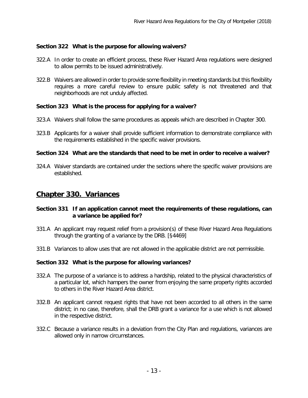### **Section 322 What is the purpose for allowing waivers?**

- 322.A In order to create an efficient process, these River Hazard Area regulations were designed to allow permits to be issued administratively.
- 322.B Waivers are allowed in order to provide some flexibility in meeting standards but this flexibility requires a more careful review to ensure public safety is not threatened and that neighborhoods are not unduly affected.

### **Section 323 What is the process for applying for a waiver?**

- 323.A Waivers shall follow the same procedures as appeals which are described in Chapter 300.
- 323.B Applicants for a waiver shall provide sufficient information to demonstrate compliance with the requirements established in the specific waiver provisions.

### **Section 324 What are the standards that need to be met in order to receive a waiver?**

324.A Waiver standards are contained under the sections where the specific waiver provisions are established.

### **Chapter 330. Variances**

### **Section 331 If an application cannot meet the requirements of these regulations, can a variance be applied for?**

- 331.A An applicant may request relief from a provision(s) of these River Hazard Area Regulations through the granting of a variance by the DRB. [§4469]
- 331.B Variances to allow uses that are not allowed in the applicable district are not permissible.

### **Section 332 What is the purpose for allowing variances?**

- 332.A The purpose of a variance is to address a hardship, related to the physical characteristics of a particular lot, which hampers the owner from enjoying the same property rights accorded to others in the River Hazard Area district.
- 332.B An applicant cannot request rights that have not been accorded to all others in the same district; in no case, therefore, shall the DRB grant a variance for a use which is not allowed in the respective district.
- 332.C Because a variance results in a deviation from the City Plan and regulations, variances are allowed only in narrow circumstances.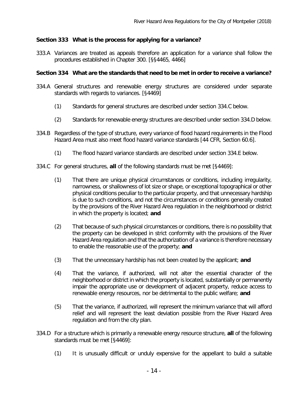### **Section 333 What is the process for applying for a variance?**

333.A Variances are treated as appeals therefore an application for a variance shall follow the procedures established in Chapter 300. [§§4465, 4466]

### **Section 334 What are the standards that need to be met in order to receive a variance?**

- 334.A General structures and renewable energy structures are considered under separate standards with regards to variances. [§4469]
	- (1) Standards for general structures are described under section 334.C below.
	- (2) Standards for renewable energy structures are described under section 334.D below.
- 334.B Regardless of the type of structure, every variance of flood hazard requirements in the Flood Hazard Area must also meet flood hazard variance standards [44 CFR, Section 60.6].
	- (1) The flood hazard variance standards are described under section 334.E below.
- 334.C For general structures, **all** of the following standards must be met [§4469]:
	- (1) That there are unique physical circumstances or conditions, including irregularity, narrowness, or shallowness of lot size or shape, or exceptional topographical or other physical conditions peculiar to the particular property, and that unnecessary hardship is due to such conditions, and not the circumstances or conditions generally created by the provisions of the River Hazard Area regulation in the neighborhood or district in which the property is located; **and**
	- (2) That because of such physical circumstances or conditions, there is no possibility that the property can be developed in strict conformity with the provisions of the River Hazard Area regulation and that the authorization of a variance is therefore necessary to enable the reasonable use of the property; **and**
	- (3) That the unnecessary hardship has not been created by the applicant; **and**
	- (4) That the variance, if authorized, will not alter the essential character of the neighborhood or district in which the property is located, substantially or permanently impair the appropriate use or development of adjacent property, reduce access to renewable energy resources, nor be detrimental to the public welfare; **and**
	- (5) That the variance, if authorized, will represent the minimum variance that will afford relief and will represent the least deviation possible from the River Hazard Area regulation and from the city plan.
- 334.D For a structure which is primarily a renewable energy resource structure, **all** of the following standards must be met [§4469]:
	- (1) It is unusually difficult or unduly expensive for the appellant to build a suitable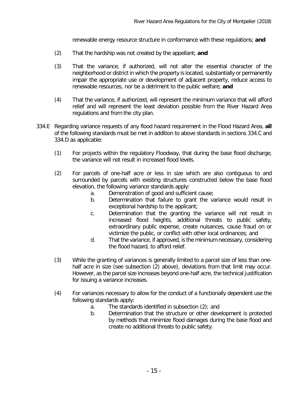renewable energy resource structure in conformance with these regulations; **and**

- (2) That the hardship was not created by the appellant; **and**
- (3) That the variance, if authorized, will not alter the essential character of the neighborhood or district in which the property is located, substantially or permanently impair the appropriate use or development of adjacent property, reduce access to renewable resources, nor be a detriment to the public welfare; **and**
- (4) That the variance, if authorized, will represent the minimum variance that will afford relief and will represent the least deviation possible from the River Hazard Area regulations and from the city plan.
- 334.E Regarding variance requests of any flood hazard requirement in the Flood Hazard Area, **all** of the following standards must be met in addition to above standards in sections 334.C and 334.D as applicable:
	- (1) For projects within the regulatory Floodway, that during the base flood discharge, the variance will not result in increased flood levels.
	- (2) For parcels of one-half acre or less in size which are also contiguous to and surrounded by parcels with existing structures constructed below the base flood elevation, the following variance standards apply:
		- a. Demonstration of good and sufficient cause;
		- b. Determination that failure to grant the variance would result in exceptional hardship to the applicant;
		- c. Determination that the granting the variance will not result in increased flood heights, additional threats to public safety, extraordinary public expense, create nuisances, cause fraud on or victimize the public, or conflict with other local ordinances; and
		- d. That the variance, if approved, is the minimum necessary, considering the flood hazard, to afford relief.
	- (3) While the granting of variances is generally limited to a parcel size of less than onehalf acre in size (see subsection (2) above), deviations from that limit may occur. However, as the parcel size increases beyond one-half acre, the technical justification for issuing a variance increases.
	- (4) For variances necessary to allow for the conduct of a functionally dependent use the following standards apply:
		- a. The standards identified in subsection (2); and
		- b. Determination that the structure or other development is protected by methods that minimize flood damages during the base flood and create no additional threats to public safety.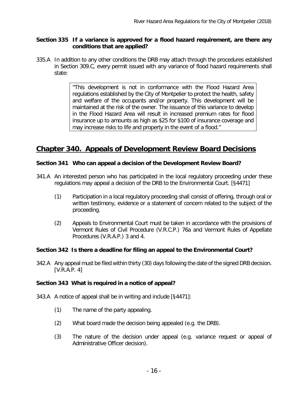### **Section 335 If a variance is approved for a flood hazard requirement, are there any conditions that are applied?**

335.A In addition to any other conditions the DRB may attach through the procedures established in Section 309.C, every permit issued with any variance of flood hazard requirements shall state:

> "This development is not in conformance with the Flood Hazard Area regulations established by the City of Montpelier to protect the health, safety and welfare of the occupants and/or property. This development will be maintained at the risk of the owner. The issuance of this variance to develop in the Flood Hazard Area will result in increased premium rates for flood insurance up to amounts as high as \$25 for \$100 of insurance coverage and may increase risks to life and property in the event of a flood."

### **Chapter 340. Appeals of Development Review Board Decisions**

### **Section 341 Who can appeal a decision of the Development Review Board?**

- 341.A An interested person who has participated in the local regulatory proceeding under these regulations may appeal a decision of the DRB to the Environmental Court. [§4471]
	- (1) Participation in a local regulatory proceeding shall consist of offering, through oral or written testimony, evidence or a statement of concern related to the subject of the proceeding.
	- (2) Appeals to Environmental Court must be taken in accordance with the provisions of Vermont Rules of Civil Procedure (V.R.C.P.) 76a and Vermont Rules of Appellate Procedures (V.R.A.P.) 3 and 4.

### **Section 342 Is there a deadline for filing an appeal to the Environmental Court?**

342.A Any appeal must be filed within thirty (30) days following the date of the signed DRB decision. [V.R.A.P. 4]

### **Section 343 What is required in a notice of appeal?**

- 343.A A notice of appeal shall be in writing and include [§4471]:
	- (1) The name of the party appealing.
	- (2) What board made the decision being appealed (e.g. the DRB).
	- (3) The nature of the decision under appeal (e.g. variance request or appeal of Administrative Officer decision).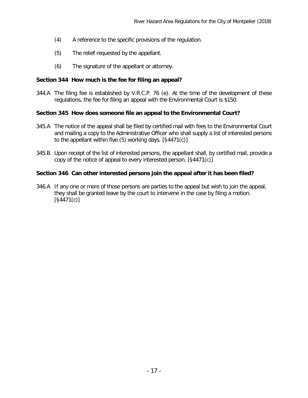- (4) A reference to the specific provisions of the regulation.
- (5) The relief requested by the appellant.
- (6) The signature of the appellant or attorney.

### **Section 344 How much is the fee for filing an appeal?**

344.A The filing fee is established by V.R.C.P. 76 (e). At the time of the development of these regulations, the fee for filing an appeal with the Environmental Court is \$150.

### **Section 345 How does someone file an appeal to the Environmental Court?**

- 345.A The notice of the appeal shall be filed by certified mail with fees to the Environmental Court and mailing a copy to the Administrative Officer who shall supply a list of interested persons to the appellant within five (5) working days. [§4471(c)]
- 345.B Upon receipt of the list of interested persons, the appellant shall, by certified mail, provide a copy of the notice of appeal to every interested person. [§4471(c)]

### **Section 346 Can other interested persons join the appeal after it has been filed?**

346.A If any one or more of those persons are parties to the appeal but wish to join the appeal, they shall be granted leave by the court to intervene in the case by filing a motion. [§4471(c)]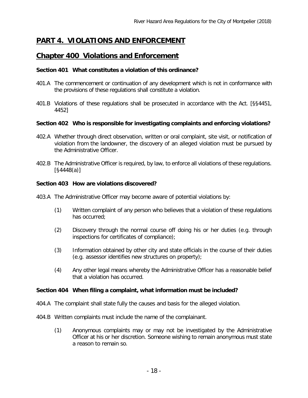### **PART 4. VIOLATIONS AND ENFORCEMENT**

### **Chapter 400 Violations and Enforcement**

### **Section 401 What constitutes a violation of this ordinance?**

- 401.A The commencement or continuation of any development which is not in conformance with the provisions of these regulations shall constitute a violation.
- 401.B Violations of these regulations shall be prosecuted in accordance with the Act. [§§4451, 4452]

### **Section 402 Who is responsible for investigating complaints and enforcing violations?**

- 402.A Whether through direct observation, written or oral complaint, site visit, or notification of violation from the landowner, the discovery of an alleged violation must be pursued by the Administrative Officer.
- 402.B The Administrative Officer is required, by law, to enforce all violations of these regulations. [§4448(a)]

### **Section 403 How are violations discovered?**

403.A The Administrative Officer may become aware of potential violations by:

- (1) Written complaint of any person who believes that a violation of these regulations has occurred;
- (2) Discovery through the normal course off doing his or her duties (e.g. through inspections for certificates of compliance);
- (3) Information obtained by other city and state officials in the course of their duties (e.g. assessor identifies new structures on property);
- (4) Any other legal means whereby the Administrative Officer has a reasonable belief that a violation has occurred.

### **Section 404 When filing a complaint, what information must be included?**

- 404.A The complaint shall state fully the causes and basis for the alleged violation.
- 404.B Written complaints must include the name of the complainant.
	- (1) Anonymous complaints may or may not be investigated by the Administrative Officer at his or her discretion. Someone wishing to remain anonymous must state a reason to remain so.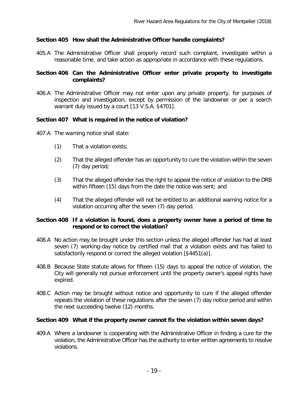### **Section 405 How shall the Administrative Officer handle complaints?**

405.A The Administrative Officer shall properly record such complaint, investigate within a reasonable time, and take action as appropriate in accordance with these regulations.

### **Section 406 Can the Administrative Officer enter private property to investigate complaints?**

406.A The Administrative Officer may not enter upon any private property, for purposes of inspection and investigation, except by permission of the landowner or per a search warrant duly issued by a court [13 V.S.A. §4701].

### **Section 407 What is required in the notice of violation?**

- 407.A The warning notice shall state:
	- (1) That a violation exists;
	- (2) That the alleged offender has an opportunity to cure the violation within the seven (7) day period;
	- (3) That the alleged offender has the right to appeal the notice of violation to the DRB within fifteen (15) days from the date the notice was sent; and
	- (4) That the alleged offender will not be entitled to an additional warning notice for a violation occurring after the seven (7) day period.

### **Section 408 If a violation is found, does a property owner have a period of time to respond or to correct the violation?**

- 408.A No action may be brought under this section unless the alleged offender has had at least seven (7) working-day notice by certified mail that a violation exists and has failed to satisfactorily respond or correct the alleged violation [§4451(a)].
- 408.B Because State statute allows for fifteen (15) days to appeal the notice of violation, the City will generally not pursue enforcement until the property owner's appeal rights have expired.
- 408.C Action may be brought without notice and opportunity to cure if the alleged offender repeats the violation of these regulations after the seven (7) day notice period and within the next succeeding twelve (12) months.

#### **Section 409 What if the property owner cannot fix the violation within seven days?**

409.A Where a landowner is cooperating with the Administrative Officer in finding a cure for the violation, the Administrative Officer has the authority to enter written agreements to resolve violations.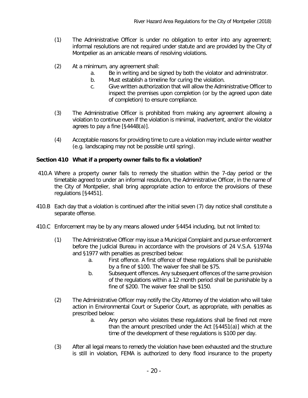- (1) The Administrative Officer is under no obligation to enter into any agreement; informal resolutions are not required under statute and are provided by the City of Montpelier as an amicable means of resolving violations.
- (2) At a minimum, any agreement shall:
	- a. Be in writing and be signed by both the violator and administrator.
	- b. Must establish a timeline for curing the violation.
	- c. Give written authorization that will allow the Administrative Officer to inspect the premises upon completion (or by the agreed upon date of completion) to ensure compliance.
- (3) The Administrative Officer is prohibited from making any agreement allowing a violation to continue even if the violation is minimal, inadvertent, and/or the violator agrees to pay a fine [§4448(a)].
- (4) Acceptable reasons for providing time to cure a violation may include winter weather (e.g. landscaping may not be possible until spring).

### **Section 410 What if a property owner fails to fix a violation?**

- 410.A Where a property owner fails to remedy the situation within the 7-day period or the timetable agreed to under an informal resolution, the Administrative Officer, in the name of the City of Montpelier, shall bring appropriate action to enforce the provisions of these regulations [§4451].
- 410.B Each day that a violation is continued after the initial seven (7) day notice shall constitute a separate offense.
- 410.C Enforcement may be by any means allowed under §4454 including, but not limited to:
	- (1) The Administrative Officer may issue a Municipal Complaint and pursue enforcement before the Judicial Bureau in accordance with the provisions of 24 V.S.A. §1974a and §1977 with penalties as prescribed below:
		- a. First offence. A first offence of these regulations shall be punishable by a fine of \$100. The waiver fee shall be \$75.
		- b. Subsequent offences. Any subsequent offences of the same provision of the regulations within a 12 month period shall be punishable by a fine of \$200. The waiver fee shall be \$150.
	- (2) The Administrative Officer may notify the City Attorney of the violation who will take action in Environmental Court or Superior Court, as appropriate, with penalties as prescribed below:
		- a. Any person who violates these regulations shall be fined not more than the amount prescribed under the Act [§4451(a)] which at the time of the development of these regulations is \$100 per day.
	- (3) After all legal means to remedy the violation have been exhausted and the structure is still in violation, FEMA is authorized to deny flood insurance to the property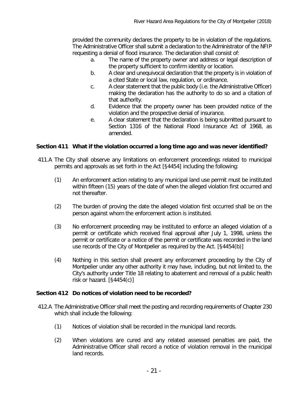provided the community declares the property to be in violation of the regulations. The Administrative Officer shall submit a declaration to the Administrator of the NFIP requesting a denial of flood insurance. The declaration shall consist of:

- a. The name of the property owner and address or legal description of the property sufficient to confirm identity or location.
- b. A clear and unequivocal declaration that the property is in violation of a cited State or local law, regulation, or ordinance.
- c. A clear statement that the public body (i.e. the Administrative Officer) making the declaration has the authority to do so and a citation of that authority.
- d. Evidence that the property owner has been provided notice of the violation and the prospective denial of insurance.
- e. A clear statement that the declaration is being submitted pursuant to Section 1316 of the National Flood Insurance Act of 1968, as amended.

### **Section 411 What if the violation occurred a long time ago and was never identified?**

- 411.A The City shall observe any limitations on enforcement proceedings related to municipal permits and approvals as set forth in the Act [§4454] including the following:
	- (1) An enforcement action relating to any municipal land use permit must be instituted within fifteen (15) years of the date of when the alleged violation first occurred and not thereafter.
	- (2) The burden of proving the date the alleged violation first occurred shall be on the person against whom the enforcement action is instituted.
	- (3) No enforcement proceeding may be instituted to enforce an alleged violation of a permit or certificate which received final approval after July 1, 1998, unless the permit or certificate or a notice of the permit or certificate was recorded in the land use records of the City of Montpelier as required by the Act. [§4454(b)]
	- (4) Nothing in this section shall prevent any enforcement proceeding by the City of Montpelier under any other authority it may have, including, but not limited to, the City's authority under Title 18 relating to abatement and removal of a public health risk or hazard. [§4454(c)]

### **Section 412 Do notices of violation need to be recorded?**

- 412.A The Administrative Officer shall meet the posting and recording requirements of Chapter 230 which shall include the following:
	- (1) Notices of violation shall be recorded in the municipal land records.
	- (2) When violations are cured and any related assessed penalties are paid, the Administrative Officer shall record a notice of violation removal in the municipal land records.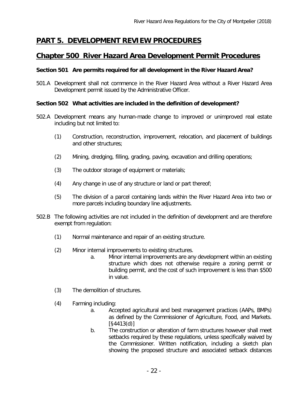### **PART 5. DEVELOPMENT REVIEW PROCEDURES**

### **Chapter 500 River Hazard Area Development Permit Procedures**

### **Section 501 Are permits required for all development in the River Hazard Area?**

501.A Development shall not commence in the River Hazard Area without a River Hazard Area Development permit issued by the Administrative Officer.

### **Section 502 What activities are included in the definition of development?**

- 502.A Development means any human-made change to improved or unimproved real estate including but not limited to:
	- (1) Construction, reconstruction, improvement, relocation, and placement of buildings and other structures;
	- (2) Mining, dredging, filling, grading, paving, excavation and drilling operations;
	- (3) The outdoor storage of equipment or materials;
	- (4) Any change in use of any structure or land or part thereof;
	- (5) The division of a parcel containing lands within the River Hazard Area into two or more parcels including boundary line adjustments.
- 502.B The following activities are not included in the definition of development and are therefore exempt from regulation:
	- (1) Normal maintenance and repair of an existing structure.
	- (2) Minor internal improvements to existing structures.
		- a. Minor internal improvements are any development within an existing structure which does not otherwise require a zoning permit or building permit, and the cost of such improvement is less than \$500 in value.
	- (3) The demolition of structures.
	- (4) Farming including:
		- a. Accepted agricultural and best management practices (AAPs, BMPs) as defined by the Commissioner of Agriculture, Food, and Markets. [§4413(d)]
		- b. The construction or alteration of farm structures however shall meet setbacks required by these regulations, unless specifically waived by the Commissioner. Written notification, including a sketch plan showing the proposed structure and associated setback distances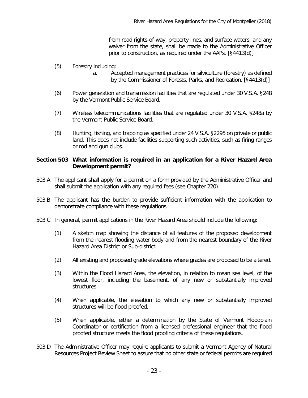from road rights-of-way, property lines, and surface waters, and any waiver from the state, shall be made to the Administrative Officer prior to construction, as required under the AAPs. [§4413(d)]

- (5) Forestry including:
	- a. Accepted management practices for silviculture (forestry) as defined by the Commissioner of Forests, Parks, and Recreation. [§4413(d)]
- (6) Power generation and transmission facilities that are regulated under 30 V.S.A. §248 by the Vermont Public Service Board.
- (7) Wireless telecommunications facilities that are regulated under 30 V.S.A. §248a by the Vermont Public Service Board.
- (8) Hunting, fishing, and trapping as specified under 24 V.S.A. §2295 on private or public land. This does not include facilities supporting such activities, such as firing ranges or rod and gun clubs.

#### **Section 503 What information is required in an application for a River Hazard Area Development permit?**

- 503.A The applicant shall apply for a permit on a form provided by the Administrative Officer and shall submit the application with any required fees (see Chapter 220).
- 503.B The applicant has the burden to provide sufficient information with the application to demonstrate compliance with these regulations.
- 503.C In general, permit applications in the River Hazard Area should include the following:
	- (1) A sketch map showing the distance of all features of the proposed development from the nearest flooding water body and from the nearest boundary of the River Hazard Area District or Sub-district.
	- (2) All existing and proposed grade elevations where grades are proposed to be altered.
	- (3) Within the Flood Hazard Area, the elevation, in relation to mean sea level, of the lowest floor, including the basement, of any new or substantially improved structures.
	- (4) When applicable, the elevation to which any new or substantially improved structures will be flood proofed.
	- (5) When applicable, either a determination by the State of Vermont Floodplain Coordinator or certification from a licensed professional engineer that the flood proofed structure meets the flood proofing criteria of these regulations.
- 503.D The Administrative Officer may require applicants to submit a Vermont Agency of Natural Resources Project Review Sheet to assure that no other state or federal permits are required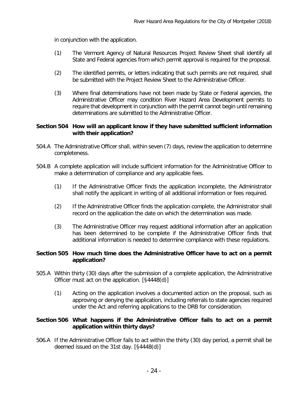in conjunction with the application.

- (1) The Vermont Agency of Natural Resources Project Review Sheet shall identify all State and Federal agencies from which permit approval is required for the proposal.
- (2) The identified permits, or letters indicating that such permits are not required, shall be submitted with the Project Review Sheet to the Administrative Officer.
- (3) Where final determinations have not been made by State or Federal agencies, the Administrative Officer may condition River Hazard Area Development permits to require that development in conjunction with the permit cannot begin until remaining determinations are submitted to the Administrative Officer.

#### **Section 504 How will an applicant know if they have submitted sufficient information with their application?**

- 504.A The Administrative Officer shall, within seven (7) days, review the application to determine completeness.
- 504.B A complete application will include sufficient information for the Administrative Officer to make a determination of compliance and any applicable fees.
	- (1) If the Administrative Officer finds the application incomplete, the Administrator shall notify the applicant in writing of all additional information or fees required.
	- (2) If the Administrative Officer finds the application complete, the Administrator shall record on the application the date on which the determination was made.
	- (3) The Administrative Officer may request additional information after an application has been determined to be complete if the Administrative Officer finds that additional information is needed to determine compliance with these regulations.

### **Section 505 How much time does the Administrative Officer have to act on a permit application?**

- 505.A Within thirty (30) days after the submission of a complete application, the Administrative Officer must act on the application. [§4448(d)]
	- (1) Acting on the application involves a documented action on the proposal, such as approving or denying the application, including referrals to state agencies required under the Act and referring applications to the DRB for consideration.

### **Section 506 What happens if the Administrative Officer fails to act on a permit application within thirty days?**

506.A If the Administrative Officer fails to act within the thirty (30) day period, a permit shall be deemed issued on the 31st day. [§4448(d)]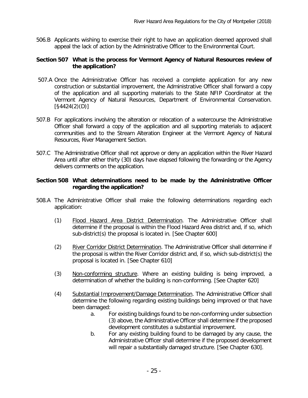506.B Applicants wishing to exercise their right to have an application deemed approved shall appeal the lack of action by the Administrative Officer to the Environmental Court.

### **Section 507 What is the process for Vermont Agency of Natural Resources review of the application?**

- 507.A Once the Administrative Officer has received a complete application for any new construction or substantial improvement, the Administrative Officer shall forward a copy of the application and all supporting materials to the State NFIP Coordinator at the Vermont Agency of Natural Resources, Department of Environmental Conservation. [§4424(2)(D)]
- 507.B For applications involving the alteration or relocation of a watercourse the Administrative Officer shall forward a copy of the application and all supporting materials to adjacent communities and to the Stream Alteration Engineer at the Vermont Agency of Natural Resources, River Management Section.
- 507.C The Administrative Officer shall not approve or deny an application within the River Hazard Area until after either thirty (30) days have elapsed following the forwarding or the Agency delivers comments on the application.

### **Section 508 What determinations need to be made by the Administrative Officer regarding the application?**

- 508.A The Administrative Officer shall make the following determinations regarding each application:
	- (1) Flood Hazard Area District Determination. The Administrative Officer shall determine if the proposal is within the Flood Hazard Area district and, if so, which sub-district(s) the proposal is located in. [See Chapter 600]
	- (2) River Corridor District Determination. The Administrative Officer shall determine if the proposal is within the River Corridor district and, if so, which sub-district(s) the proposal is located in. [See Chapter 610]
	- (3) Non-conforming structure. Where an existing building is being improved, a determination of whether the building is non-conforming. [See Chapter 620]
	- (4) Substantial Improvement/Damage Determination. The Administrative Officer shall determine the following regarding existing buildings being improved or that have been damaged:
		- a. For existing buildings found to be non-conforming under subsection (3) above, the Administrative Officer shall determine if the proposed development constitutes a substantial improvement.
		- b. For any existing building found to be damaged by any cause, the Administrative Officer shall determine if the proposed development will repair a substantially damaged structure. [See Chapter 630].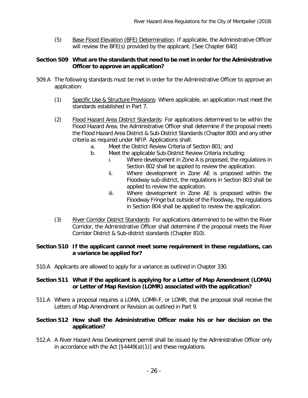(5) Base Flood Elevation (BFE) Determination. If applicable, the Administrative Officer will review the BFE(s) provided by the applicant. [See Chapter 640]

#### **Section 509 What are the standards that need to be met in order for the Administrative Officer to approve an application?**

- 509.A The following standards must be met in order for the Administrative Officer to approve an application:
	- (1) Specific Use & Structure Provisions: Where applicable, an application must meet the standards established in Part 7.
	- (2) Flood Hazard Area District Standards: For applications determined to be within the Flood Hazard Area, the Administrative Officer shall determine if the proposal meets the Flood Hazard Area District & Sub-District Standards (Chapter 800) and any other criteria as required under NFIP. Applications shall:
		- a. Meet the District Review Criteria of Section 801; and
		- b. Meet the applicable Sub-District Review Criteria including:
			- i. Where development in Zone A is proposed, the regulations in Section 802 shall be applied to review the application.
			- ii. Where development in Zone AE is proposed within the Floodway sub-district, the regulations in Section 803 shall be applied to review the application.
			- iii. Where development in Zone AE is proposed within the Floodway Fringe but outside of the Floodway, the regulations in Section 804 shall be applied to review the application.
	- (3) River Corridor District Standards: For applications determined to be within the River Corridor, the Administrative Officer shall determine if the proposal meets the River Corridor District & Sub-district standards (Chapter 810).

### **Section 510 If the applicant cannot meet some requirement in these regulations, can a variance be applied for?**

510.A Applicants are allowed to apply for a variance as outlined in Chapter 330.

### **Section 511 What if the applicant is applying for a Letter of Map Amendment (LOMA) or Letter of Map Revision (LOMR) associated with the application?**

511.A Where a proposal requires a LOMA, LOMR-F, or LOMR, that the proposal shall receive the Letters of Map Amendment or Revision as outlined in Part 9.

### **Section 512 How shall the Administrative Officer make his or her decision on the application?**

512.A A River Hazard Area Development permit shall be issued by the Administrative Officer only in accordance with the Act [§4449(a)(1)] and these regulations.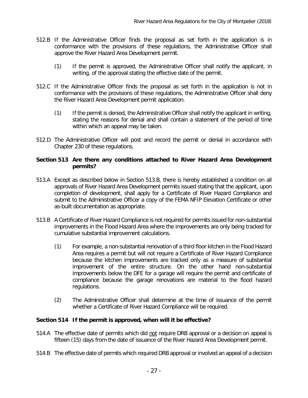- 512.B If the Administrative Officer finds the proposal as set forth in the application is in conformance with the provisions of these regulations, the Administrative Officer shall approve the River Hazard Area Development permit.
	- (1) If the permit is approved, the Administrative Officer shall notify the applicant, in writing, of the approval stating the effective date of the permit.
- 512.C If the Administrative Officer finds the proposal as set forth in the application is not in conformance with the provisions of these regulations, the Administrative Officer shall deny the River Hazard Area Development permit application.
	- (1) If the permit is denied, the Administrative Officer shall notify the applicant in writing, stating the reasons for denial and shall contain a statement of the period of time within which an appeal may be taken.
- 512.D The Administrative Officer will post and record the permit or denial in accordance with Chapter 230 of these regulations.

### **Section 513 Are there any conditions attached to River Hazard Area Development permits?**

- 513.A Except as described below in Section 513.B, there is hereby established a condition on all approvals of River Hazard Area Development permits issued stating that the applicant, upon completion of development, shall apply for a Certificate of River Hazard Compliance and submit to the Administrative Officer a copy of the FEMA NFIP Elevation Certificate or other as-built documentation as appropriate.
- 513.B A Certificate of River Hazard Compliance is not required for permits issued for non-substantial improvements in the Flood Hazard Area where the improvements are only being tracked for cumulative substantial improvement calculations.
	- (1) For example, a non-substantial renovation of a third floor kitchen in the Flood Hazard Area requires a permit but will not require a Certificate of River Hazard Compliance because the kitchen improvements are tracked only as a measure of substantial improvement of the entire structure. On the other hand non-substantial improvements below the DFE for a garage will require the permit and certificate of compliance because the garage renovations are material to the flood hazard regulations.
	- (2) The Administrative Officer shall determine at the time of issuance of the permit whether a Certificate of River Hazard Compliance will be required.

### **Section 514 If the permit is approved, when will it be effective?**

- 514.A The effective date of permits which did not require DRB approval or a decision on appeal is fifteen (15) days from the date of issuance of the River Hazard Area Development permit.
- 514.B The effective date of permits which required DRB approval or involved an appeal of a decision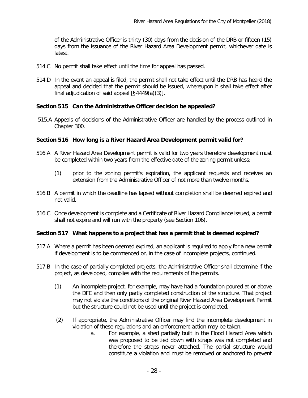of the Administrative Officer is thirty (30) days from the decision of the DRB or fifteen (15) days from the issuance of the River Hazard Area Development permit, whichever date is latest.

- 514.C No permit shall take effect until the time for appeal has passed.
- 514.D In the event an appeal is filed, the permit shall not take effect until the DRB has heard the appeal and decided that the permit should be issued, whereupon it shall take effect after final adjudication of said appeal [§4449(a)(3)].

### **Section 515 Can the Administrative Officer decision be appealed?**

515.A Appeals of decisions of the Administrative Officer are handled by the process outlined in Chapter 300.

#### **Section 516 How long is a River Hazard Area Development permit valid for?**

- 516.A A River Hazard Area Development permit is valid for two years therefore development must be completed within two years from the effective date of the zoning permit unless:
	- (1) prior to the zoning permit's expiration, the applicant requests and receives an extension from the Administrative Officer of not more than twelve months.
- 516.B A permit in which the deadline has lapsed without completion shall be deemed expired and not valid.
- 516.C Once development is complete and a Certificate of River Hazard Compliance issued, a permit shall not expire and will run with the property (see Section 106).

#### **Section 517 What happens to a project that has a permit that is deemed expired?**

- 517.A Where a permit has been deemed expired, an applicant is required to apply for a new permit if development is to be commenced or, in the case of incomplete projects, continued.
- 517.B In the case of partially completed projects, the Administrative Officer shall determine if the project, as developed, complies with the requirements of the permits.
	- (1) An incomplete project, for example, may have had a foundation poured at or above the DFE and then only partly completed construction of the structure. That project may not violate the conditions of the original River Hazard Area Development Permit but the structure could not be used until the project is completed.
	- (2) If appropriate, the Administrative Officer may find the incomplete development in violation of these regulations and an enforcement action may be taken.
		- a. For example, a shed partially built in the Flood Hazard Area which was proposed to be tied down with straps was not completed and therefore the straps never attached. The partial structure would constitute a violation and must be removed or anchored to prevent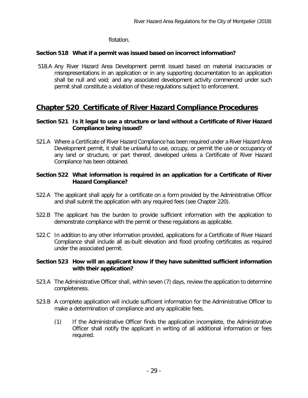flotation.

### **Section 518 What if a permit was issued based on incorrect information?**

518.A Any River Hazard Area Development permit issued based on material inaccuracies or misrepresentations in an application or in any supporting documentation to an application shall be null and void; and any associated development activity commenced under such permit shall constitute a violation of these regulations subject to enforcement.

### **Chapter 520 Certificate of River Hazard Compliance Procedures**

### **Section 521 Is it legal to use a structure or land without a Certificate of River Hazard Compliance being issued?**

521.A Where a Certificate of River Hazard Compliance has been required under a River Hazard Area Development permit, it shall be unlawful to use, occupy, or permit the use or occupancy of any land or structure, or part thereof, developed unless a Certificate of River Hazard Compliance has been obtained.

### **Section 522 What information is required in an application for a Certificate of River Hazard Compliance?**

- 522.A The applicant shall apply for a certificate on a form provided by the Administrative Officer and shall submit the application with any required fees (see Chapter 220).
- 522.B The applicant has the burden to provide sufficient information with the application to demonstrate compliance with the permit or these regulations as applicable.
- 522.C In addition to any other information provided, applications for a Certificate of River Hazard Compliance shall include all as-built elevation and flood proofing certificates as required under the associated permit.

### **Section 523 How will an applicant know if they have submitted sufficient information with their application?**

- 523.A The Administrative Officer shall, within seven (7) days, review the application to determine completeness.
- 523.B A complete application will include sufficient information for the Administrative Officer to make a determination of compliance and any applicable fees.
	- (1) If the Administrative Officer finds the application incomplete, the Administrative Officer shall notify the applicant in writing of all additional information or fees required.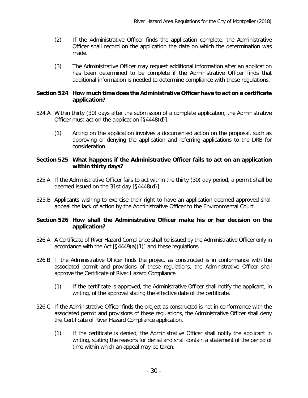- (2) If the Administrative Officer finds the application complete, the Administrative Officer shall record on the application the date on which the determination was made.
- (3) The Administrative Officer may request additional information after an application has been determined to be complete if the Administrative Officer finds that additional information is needed to determine compliance with these regulations.

### **Section 524 How much time does the Administrative Officer have to act on a certificate application?**

- 524.A Within thirty (30) days after the submission of a complete application, the Administrative Officer must act on the application [§4448(d)].
	- (1) Acting on the application involves a documented action on the proposal, such as approving or denying the application and referring applications to the DRB for consideration.

### **Section 525 What happens if the Administrative Officer fails to act on an application within thirty days?**

- 525.A If the Administrative Officer fails to act within the thirty (30) day period, a permit shall be deemed issued on the 31st day [§4448(d)].
- 525.B Applicants wishing to exercise their right to have an application deemed approved shall appeal the lack of action by the Administrative Officer to the Environmental Court.

### **Section 526 How shall the Administrative Officer make his or her decision on the application?**

- 526.A A Certificate of River Hazard Compliance shall be issued by the Administrative Officer only in accordance with the Act [§4449(a)(1)] and these regulations.
- 526.B If the Administrative Officer finds the project as constructed is in conformance with the associated permit and provisions of these regulations, the Administrative Officer shall approve the Certificate of River Hazard Compliance.
	- (1) If the certificate is approved, the Administrative Officer shall notify the applicant, in writing, of the approval stating the effective date of the certificate.
- 526.C If the Administrative Officer finds the project as constructed is not in conformance with the associated permit and provisions of these regulations, the Administrative Officer shall deny the Certificate of River Hazard Compliance application.
	- (1) If the certificate is denied, the Administrative Officer shall notify the applicant in writing, stating the reasons for denial and shall contain a statement of the period of time within which an appeal may be taken.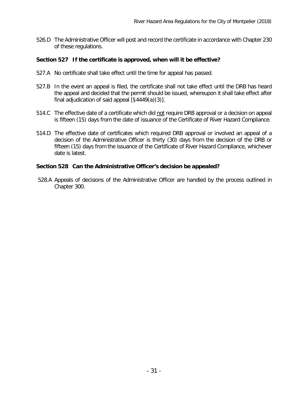526.D The Administrative Officer will post and record the certificate in accordance with Chapter 230 of these regulations.

### **Section 527 If the certificate is approved, when will it be effective?**

- 527.A No certificate shall take effect until the time for appeal has passed.
- 527.B In the event an appeal is filed, the certificate shall not take effect until the DRB has heard the appeal and decided that the permit should be issued, whereupon it shall take effect after final adjudication of said appeal [§4449(a)(3)].
- 514.C The effective date of a certificate which did not require DRB approval or a decision on appeal is fifteen (15) days from the date of issuance of the Certificate of River Hazard Compliance.
- 514.D The effective date of certificates which required DRB approval or involved an appeal of a decision of the Administrative Officer is thirty (30) days from the decision of the DRB or fifteen (15) days from the issuance of the Certificate of River Hazard Compliance, whichever date is latest.

### **Section 528 Can the Administrative Officer's decision be appealed?**

528.A Appeals of decisions of the Administrative Officer are handled by the process outlined in Chapter 300.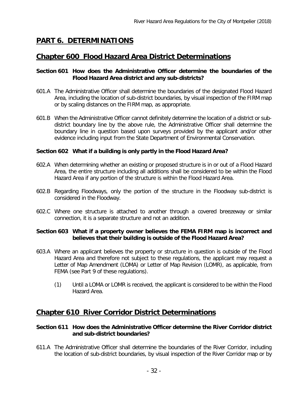### **PART 6. DETERMINATIONS**

### **Chapter 600 Flood Hazard Area District Determinations**

### **Section 601 How does the Administrative Officer determine the boundaries of the Flood Hazard Area district and any sub-districts?**

- 601.A The Administrative Officer shall determine the boundaries of the designated Flood Hazard Area, including the location of sub-district boundaries, by visual inspection of the FIRM map or by scaling distances on the FIRM map, as appropriate.
- 601.B When the Administrative Officer cannot definitely determine the location of a district or subdistrict boundary line by the above rule, the Administrative Officer shall determine the boundary line in question based upon surveys provided by the applicant and/or other evidence including input from the State Department of Environmental Conservation.

### **Section 602 What if a building is only partly in the Flood Hazard Area?**

- 602.A When determining whether an existing or proposed structure is in or out of a Flood Hazard Area, the entire structure including all additions shall be considered to be within the Flood Hazard Area if any portion of the structure is within the Flood Hazard Area.
- 602.B Regarding Floodways, only the portion of the structure in the Floodway sub-district is considered in the Floodway.
- 602.C Where one structure is attached to another through a covered breezeway or similar connection, it is a separate structure and not an addition.

### **Section 603 What if a property owner believes the FEMA FIRM map is incorrect and believes that their building is outside of the Flood Hazard Area?**

- 603.A Where an applicant believes the property or structure in question is outside of the Flood Hazard Area and therefore not subject to these regulations, the applicant may request a Letter of Map Amendment (LOMA) or Letter of Map Revision (LOMR), as applicable, from FEMA (see Part 9 of these regulations).
	- (1) Until a LOMA or LOMR is received, the applicant is considered to be within the Flood Hazard Area.

### **Chapter 610 River Corridor District Determinations**

### **Section 611 How does the Administrative Officer determine the River Corridor district and sub-district boundaries?**

611.A The Administrative Officer shall determine the boundaries of the River Corridor, including the location of sub-district boundaries, by visual inspection of the River Corridor map or by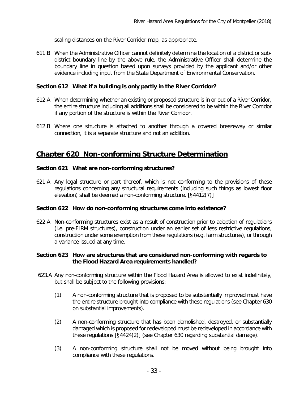scaling distances on the River Corridor map, as appropriate.

611.B When the Administrative Officer cannot definitely determine the location of a district or subdistrict boundary line by the above rule, the Administrative Officer shall determine the boundary line in question based upon surveys provided by the applicant and/or other evidence including input from the State Department of Environmental Conservation.

### **Section 612 What if a building is only partly in the River Corridor?**

- 612.A When determining whether an existing or proposed structure is in or out of a River Corridor, the entire structure including all additions shall be considered to be within the River Corridor if any portion of the structure is within the River Corridor.
- 612.B Where one structure is attached to another through a covered breezeway or similar connection, it is a separate structure and not an addition.

### **Chapter 620 Non-conforming Structure Determination**

### **Section 621 What are non-conforming structures?**

621.A Any legal structure or part thereof, which is not conforming to the provisions of these regulations concerning any structural requirements (including such things as lowest floor elevation) shall be deemed a non-conforming structure. [§4412(7)]

### **Section 622 How do non-conforming structures come into existence?**

622.A Non-conforming structures exist as a result of construction prior to adoption of regulations (i.e. pre-FIRM structures), construction under an earlier set of less restrictive regulations, construction under some exemption from these regulations (e.g. farm structures), or through a variance issued at any time.

### **Section 623 How are structures that are considered non-conforming with regards to the Flood Hazard Area requirements handled?**

- 623.A Any non-conforming structure within the Flood Hazard Area is allowed to exist indefinitely, but shall be subject to the following provisions:
	- (1) A non-conforming structure that is proposed to be substantially improved must have the entire structure brought into compliance with these regulations (see Chapter 630 on substantial improvements).
	- (2) A non-conforming structure that has been demolished, destroyed, or substantially damaged which is proposed for redeveloped must be redeveloped in accordance with these regulations [§4424(2)] (see Chapter 630 regarding substantial damage).
	- (3) A non-conforming structure shall not be moved without being brought into compliance with these regulations.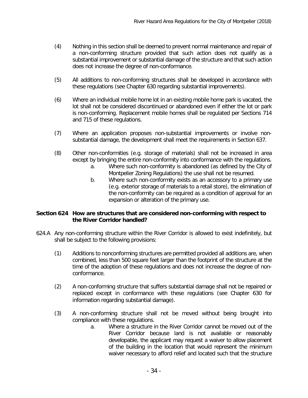- (4) Nothing in this section shall be deemed to prevent normal maintenance and repair of a non-conforming structure provided that such action does not qualify as a substantial improvement or substantial damage of the structure and that such action does not increase the degree of non-conformance.
- (5) All additions to non-conforming structures shall be developed in accordance with these regulations (see Chapter 630 regarding substantial improvements).
- (6) Where an individual mobile home lot in an existing mobile home park is vacated, the lot shall not be considered discontinued or abandoned even if either the lot or park is non-conforming. Replacement mobile homes shall be regulated per Sections 714 and 715 of these regulations.
- (7) Where an application proposes non-substantial improvements or involve nonsubstantial damage, the development shall meet the requirements in Section 637.
- (8) Other non-conformities (e.g. storage of materials) shall not be increased in area except by bringing the entire non-conformity into conformance with the regulations.
	- a. Where such non-conformity is abandoned (as defined by the City of Montpelier Zoning Regulations) the use shall not be resumed.
	- b. Where such non-conformity exists as an accessory to a primary use (e.g. exterior storage of materials to a retail store), the elimination of the non-conformity can be required as a condition of approval for an expansion or alteration of the primary use.

### **Section 624 How are structures that are considered non-conforming with respect to the River Corridor handled?**

- 624.A Any non-conforming structure within the River Corridor is allowed to exist indefinitely, but shall be subject to the following provisions:
	- (1) Additions to nonconforming structures are permitted provided all additions are, when combined, less than 500 square feet larger than the footprint of the structure at the time of the adoption of these regulations and does not increase the degree of nonconformance.
	- (2) A non-conforming structure that suffers substantial damage shall not be repaired or replaced except in conformance with these regulations (see Chapter 630 for information regarding substantial damage).
	- (3) A non-conforming structure shall not be moved without being brought into compliance with these regulations.
		- a. Where a structure in the River Corridor cannot be moved out of the River Corridor because land is not available or reasonably developable, the applicant may request a waiver to allow placement of the building in the location that would represent the minimum waiver necessary to afford relief and located such that the structure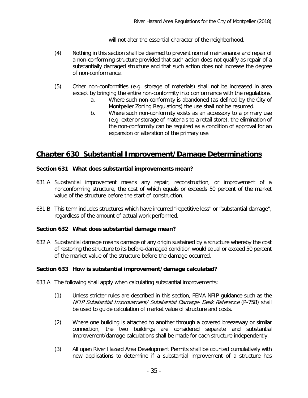will not alter the essential character of the neighborhood.

- (4) Nothing in this section shall be deemed to prevent normal maintenance and repair of a non-conforming structure provided that such action does not qualify as repair of a substantially damaged structure and that such action does not increase the degree of non-conformance.
- (5) Other non-conformities (e.g. storage of materials) shall not be increased in area except by bringing the entire non-conformity into conformance with the regulations.
	- a. Where such non-conformity is abandoned (as defined by the City of Montpelier Zoning Regulations) the use shall not be resumed.
	- b. Where such non-conformity exists as an accessory to a primary use (e.g. exterior storage of materials to a retail store), the elimination of the non-conformity can be required as a condition of approval for an expansion or alteration of the primary use.

### **Chapter 630 Substantial Improvement/Damage Determinations**

### **Section 631 What does substantial improvements mean?**

- 631.A Substantial improvement means any repair, reconstruction, or improvement of a nonconforming structure, the cost of which equals or exceeds 50 percent of the market value of the structure before the start of construction.
- 631.B This term includes structures which have incurred "repetitive loss" or "substantial damage", regardless of the amount of actual work performed.

### **Section 632 What does substantial damage mean?**

632.A Substantial damage means damage of any origin sustained by a structure whereby the cost of restoring the structure to its before-damaged condition would equal or exceed 50 percent of the market value of the structure before the damage occurred.

#### **Section 633 How is substantial improvement/damage calculated?**

- 633.A The following shall apply when calculating substantial improvements:
	- (1) Unless stricter rules are described in this section, FEMA NFIP guidance such as the NFIP Substantial Improvement/ Substantial Damage- Desk Reference (P-758) shall be used to guide calculation of market value of structure and costs.
	- (2) Where one building is attached to another through a covered breezeway or similar connection, the two buildings are considered separate and substantial improvement/damage calculations shall be made for each structure independently.
	- (3) All open River Hazard Area Development Permits shall be counted cumulatively with new applications to determine if a substantial improvement of a structure has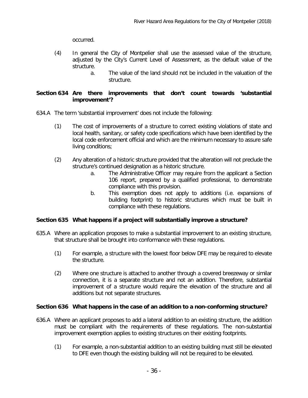occurred.

- (4) In general the City of Montpelier shall use the assessed value of the structure, adjusted by the City's Current Level of Assessment, as the default value of the structure.
	- a. The value of the land should not be included in the valuation of the structure.

### **Section 634 Are there improvements that don't count towards 'substantial improvement'?**

634.A The term 'substantial improvement' does not include the following:

- (1) The cost of improvements of a structure to correct existing violations of state and local health, sanitary, or safety code specifications which have been identified by the local code enforcement official and which are the minimum necessary to assure safe living conditions;
- (2) Any alteration of a historic structure provided that the alteration will not preclude the structure's continued designation as a historic structure.
	- a. The Administrative Officer may require from the applicant a Section 106 report, prepared by a qualified professional, to demonstrate compliance with this provision.
	- b. This exemption does not apply to additions (i.e. expansions of building footprint) to historic structures which must be built in compliance with these regulations.

### **Section 635 What happens if a project will substantially improve a structure?**

- 635.A Where an application proposes to make a substantial improvement to an existing structure, that structure shall be brought into conformance with these regulations.
	- (1) For example, a structure with the lowest floor below DFE may be required to elevate the structure.
	- (2) Where one structure is attached to another through a covered breezeway or similar connection, it is a separate structure and not an addition. Therefore, substantial improvement of a structure would require the elevation of the structure and all additions but not separate structures.

### **Section 636 What happens in the case of an addition to a non-conforming structure?**

- 636.A Where an applicant proposes to add a lateral addition to an existing structure, the addition must be compliant with the requirements of these regulations. The non-substantial improvement exemption applies to existing structures on their existing footprints.
	- (1) For example, a non-substantial addition to an existing building must still be elevated to DFE even though the existing building will not be required to be elevated.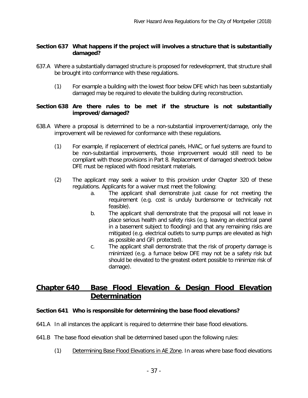### **Section 637 What happens if the project will involves a structure that is substantially damaged?**

- 637.A Where a substantially damaged structure is proposed for redevelopment, that structure shall be brought into conformance with these regulations.
	- (1) For example a building with the lowest floor below DFE which has been substantially damaged may be required to elevate the building during reconstruction.

### **Section 638 Are there rules to be met if the structure is not substantially improved/damaged?**

- 638.A Where a proposal is determined to be a non-substantial improvement/damage, only the improvement will be reviewed for conformance with these regulations.
	- (1) For example, if replacement of electrical panels, HVAC, or fuel systems are found to be non-substantial improvements, those improvement would still need to be compliant with those provisions in Part 8. Replacement of damaged sheetrock below DFE must be replaced with flood resistant materials.
	- (2) The applicant may seek a waiver to this provision under Chapter 320 of these regulations. Applicants for a waiver must meet the following:
		- a. The applicant shall demonstrate just cause for not meeting the requirement (e.g. cost is unduly burdensome or technically not feasible).
		- b. The applicant shall demonstrate that the proposal will not leave in place serious health and safety risks (e.g. leaving an electrical panel in a basement subject to flooding) and that any remaining risks are mitigated (e.g. electrical outlets to sump pumps are elevated as high as possible and GFI protected).
		- c. The applicant shall demonstrate that the risk of property damage is minimized (e.g. a furnace below DFE may not be a safety risk but should be elevated to the greatest extent possible to minimize risk of damage).

### **Chapter 640 Base Flood Elevation & Design Flood Elevation Determination**

### **Section 641 Who is responsible for determining the base flood elevations?**

- 641.A In all instances the applicant is required to determine their base flood elevations.
- 641.B The base flood elevation shall be determined based upon the following rules:
	- (1) Determining Base Flood Elevations in AE Zone. In areas where base flood elevations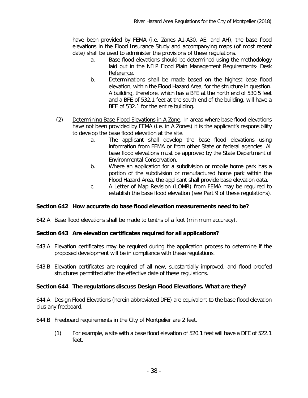have been provided by FEMA (i.e. Zones A1-A30, AE, and AH), the base flood elevations in the Flood Insurance Study and accompanying maps (of most recent date) shall be used to administer the provisions of these regulations.

- a. Base flood elevations should be determined using the methodology laid out in the NFIP Flood Plain Management Requirements- Desk Reference.
- b. Determinations shall be made based on the highest base flood elevation, within the Flood Hazard Area, for the structure in question. A building, therefore, which has a BFE at the north end of 530.5 feet and a BFE of 532.1 feet at the south end of the building, will have a BFE of 532.1 for the entire building.
- (2) Determining Base Flood Elevations in A Zone. In areas where base flood elevations have not been provided by FEMA (i.e. in A Zones) it is the applicant's responsibility to develop the base flood elevation at the site.
	- a. The applicant shall develop the base flood elevations using information from FEMA or from other State or federal agencies. All base flood elevations must be approved by the State Department of Environmental Conservation.
	- b. Where an application for a subdivision or mobile home park has a portion of the subdivision or manufactured home park within the Flood Hazard Area, the applicant shall provide base elevation data.
	- c. A Letter of Map Revision (LOMR) from FEMA may be required to establish the base flood elevation (see Part 9 of these regulations).

### **Section 642 How accurate do base flood elevation measurements need to be?**

642.A Base flood elevations shall be made to tenths of a foot (minimum accuracy).

### **Section 643 Are elevation certificates required for all applications?**

- 643.A Elevation certificates may be required during the application process to determine if the proposed development will be in compliance with these regulations.
- 643.B Elevation certificates are required of all new, substantially improved, and flood proofed structures permitted after the effective date of these regulations.

### **Section 644 The regulations discuss Design Flood Elevations. What are they?**

644.A Design Flood Elevations (herein abbreviated DFE) are equivalent to the base flood elevation plus any freeboard.

644.B Freeboard requirements in the City of Montpelier are 2 feet.

(1) For example, a site with a base flood elevation of 520.1 feet will have a DFE of 522.1 feet.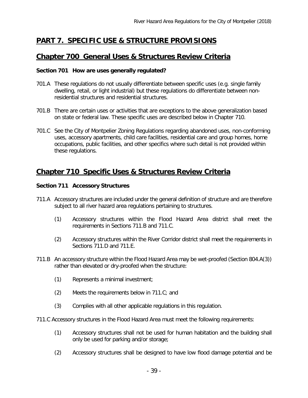### **PART 7. SPECIFIC USE & STRUCTURE PROVISIONS**

### **Chapter 700 General Uses & Structures Review Criteria**

### **Section 701 How are uses generally regulated?**

- 701.A These regulations do not usually differentiate between specific uses (e.g. single family dwelling, retail, or light industrial) but these regulations do differentiate between nonresidential structures and residential structures.
- 701.B There are certain uses or activities that are exceptions to the above generalization based on state or federal law. These specific uses are described below in Chapter 710.
- 701.C See the City of Montpelier Zoning Regulations regarding abandoned uses, non-conforming uses, accessory apartments, child care facilities, residential care and group homes, home occupations, public facilities, and other specifics where such detail is not provided within these regulations.

### **Chapter 710 Specific Uses & Structures Review Criteria**

### **Section 711 Accessory Structures**

- 711.A Accessory structures are included under the general definition of structure and are therefore subject to all river hazard area regulations pertaining to structures.
	- (1) Accessory structures within the Flood Hazard Area district shall meet the requirements in Sections 711.B and 711.C.
	- (2) Accessory structures within the River Corridor district shall meet the requirements in Sections 711.D and 711.E.
- 711.B An accessory structure within the Flood Hazard Area may be wet-proofed (Section 804.A(3)) rather than elevated or dry-proofed when the structure:
	- (1) Represents a minimal investment;
	- (2) Meets the requirements below in 711.C; and
	- (3) Complies with all other applicable regulations in this regulation.

711.C Accessory structures in the Flood Hazard Area must meet the following requirements:

- (1) Accessory structures shall not be used for human habitation and the building shall only be used for parking and/or storage;
- (2) Accessory structures shall be designed to have low flood damage potential and be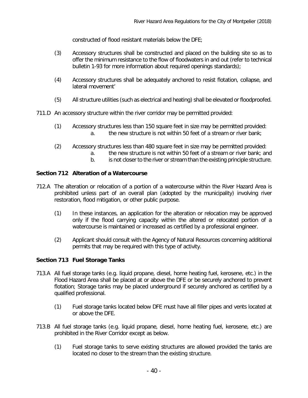constructed of flood resistant materials below the DFE;

- (3) Accessory structures shall be constructed and placed on the building site so as to offer the minimum resistance to the flow of floodwaters in and out (refer to technical bulletin 1-93 for more information about required openings standards);
- (4) Accessory structures shall be adequately anchored to resist flotation, collapse, and lateral movement'
- (5) All structure utilities (such as electrical and heating) shall be elevated or floodproofed.

711.D An accessory structure within the river corridor may be permitted provided:

- (1) Accessory structures less than 150 square feet in size may be permitted provided: a. the new structure is not within 50 feet of a stream or river bank;
- (2) Accessory structures less than 480 square feet in size may be permitted provided:
	- a. the new structure is not within 50 feet of a stream or river bank; and
	- b. is not closer to the river or stream than the existing principle structure.

#### **Section 712 Alteration of a Watercourse**

- 712.A The alteration or relocation of a portion of a watercourse within the River Hazard Area is prohibited unless part of an overall plan (adopted by the municipality) involving river restoration, flood mitigation, or other public purpose.
	- (1) In these instances, an application for the alteration or relocation may be approved only if the flood carrying capacity within the altered or relocated portion of a watercourse is maintained or increased as certified by a professional engineer.
	- (2) Applicant should consult with the Agency of Natural Resources concerning additional permits that may be required with this type of activity.

#### **Section 713 Fuel Storage Tanks**

- 713.A All fuel storage tanks (e.g. liquid propane, diesel, home heating fuel, kerosene, etc.) in the Flood Hazard Area shall be placed at or above the DFE or be securely anchored to prevent flotation; Storage tanks may be placed underground if securely anchored as certified by a qualified professional.
	- (1) Fuel storage tanks located below DFE must have all filler pipes and vents located at or above the DFE.
- 713.B All fuel storage tanks (e.g. liquid propane, diesel, home heating fuel, kerosene, etc.) are prohibited in the River Corridor except as below.
	- (1) Fuel storage tanks to serve existing structures are allowed provided the tanks are located no closer to the stream than the existing structure.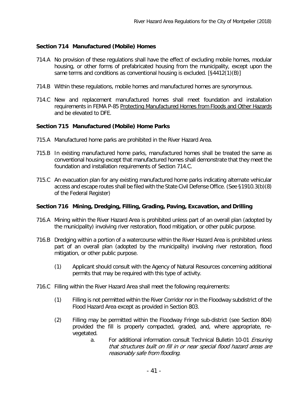### **Section 714 Manufactured (Mobile) Homes**

- 714.A No provision of these regulations shall have the effect of excluding mobile homes, modular housing, or other forms of prefabricated housing from the municipality, except upon the same terms and conditions as conventional housing is excluded. [§4412(1)(B)]
- 714.B Within these regulations, mobile homes and manufactured homes are synonymous.
- 714.C New and replacement manufactured homes shall meet foundation and installation requirements in FEMA P-85 Protecting Manufactured Homes from Floods and Other Hazards and be elevated to DFE.

### **Section 715 Manufactured (Mobile) Home Parks**

- 715.A Manufactured home parks are prohibited in the River Hazard Area.
- 715.B In existing manufactured home parks, manufactured homes shall be treated the same as conventional housing except that manufactured homes shall demonstrate that they meet the foundation and installation requirements of Section 714.C.
- 715.C An evacuation plan for any existing manufactured home parks indicating alternate vehicular access and escape routes shall be filed with the State Civil Defense Office. (See §1910.3(b)(8) of the Federal Register)

### **Section 716 Mining, Dredging, Filling, Grading, Paving, Excavation, and Drilling**

- 716.A Mining within the River Hazard Area is prohibited unless part of an overall plan (adopted by the municipality) involving river restoration, flood mitigation, or other public purpose.
- 716.B Dredging within a portion of a watercourse within the River Hazard Area is prohibited unless part of an overall plan (adopted by the municipality) involving river restoration, flood mitigation, or other public purpose.
	- (1) Applicant should consult with the Agency of Natural Resources concerning additional permits that may be required with this type of activity.
- 716.C Filling within the River Hazard Area shall meet the following requirements:
	- (1) Filling is not permitted within the River Corridor nor in the Floodway subdistrict of the Flood Hazard Area except as provided in Section 803.
	- (2) Filling may be permitted within the Floodway Fringe sub-district (see Section 804) provided the fill is properly compacted, graded, and, where appropriate, revegetated.
		- a. For additional information consult Technical Bulletin 10-01 Ensuring that structures built on fill in or near special flood hazard areas are reasonably safe from flooding.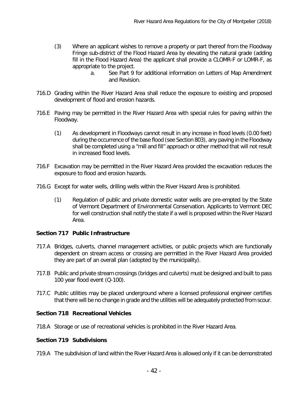- (3) Where an applicant wishes to remove a property or part thereof from the Floodway Fringe sub-district of the Flood Hazard Area by elevating the natural grade (adding fill in the Flood Hazard Area) the applicant shall provide a CLOMR-F or LOMR-F, as appropriate to the project.
	- a. See Part 9 for additional information on Letters of Map Amendment and Revision.
- 716.D Grading within the River Hazard Area shall reduce the exposure to existing and proposed development of flood and erosion hazards.
- 716.E Paving may be permitted in the River Hazard Area with special rules for paving within the Floodway.
	- (1) As development in Floodways cannot result in any increase in flood levels (0.00 feet) during the occurrence of the base flood (see Section 803), any paving in the Floodway shall be completed using a "mill and fill" approach or other method that will not result in increased flood levels.
- 716.F Excavation may be permitted in the River Hazard Area provided the excavation reduces the exposure to flood and erosion hazards.
- 716.G Except for water wells, drilling wells within the River Hazard Area is prohibited.
	- (1) Regulation of public and private domestic water wells are pre-empted by the State of Vermont Department of Environmental Conservation. Applicants to Vermont DEC for well construction shall notify the state if a well is proposed within the River Hazard Area.

### **Section 717 Public Infrastructure**

- 717.A Bridges, culverts, channel management activities, or public projects which are functionally dependent on stream access or crossing are permitted in the River Hazard Area provided they are part of an overall plan (adopted by the municipality).
- 717.B Public and private stream crossings (bridges and culverts) must be designed and built to pass 100 year flood event (Q-100).
- 717.C Public utilities may be placed underground where a licensed professional engineer certifies that there will be no change in grade and the utilities will be adequately protected from scour.

### **Section 718 Recreational Vehicles**

718.A Storage or use of recreational vehicles is prohibited in the River Hazard Area.

### **Section 719 Subdivisions**

719.A The subdivision of land within the River Hazard Area is allowed only if it can be demonstrated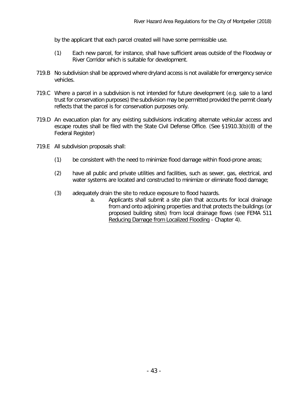by the applicant that each parcel created will have some permissible use.

- (1) Each new parcel, for instance, shall have sufficient areas outside of the Floodway or River Corridor which is suitable for development.
- 719.B No subdivision shall be approved where dryland access is not available for emergency service vehicles.
- 719.C Where a parcel in a subdivision is not intended for future development (e.g. sale to a land trust for conservation purposes) the subdivision may be permitted provided the permit clearly reflects that the parcel is for conservation purposes only.
- 719.D An evacuation plan for any existing subdivisions indicating alternate vehicular access and escape routes shall be filed with the State Civil Defense Office. (See §1910.3(b)(8) of the Federal Register)
- 719.E All subdivision proposals shall:
	- (1) be consistent with the need to minimize flood damage within flood-prone areas;
	- (2) have all public and private utilities and facilities, such as sewer, gas, electrical, and water systems are located and constructed to minimize or eliminate flood damage;
	- (3) adequately drain the site to reduce exposure to flood hazards.
		- a. Applicants shall submit a site plan that accounts for local drainage from and onto adjoining properties and that protects the buildings (or proposed building sites) from local drainage flows (see FEMA 511 Reducing Damage from Localized Flooding - Chapter 4).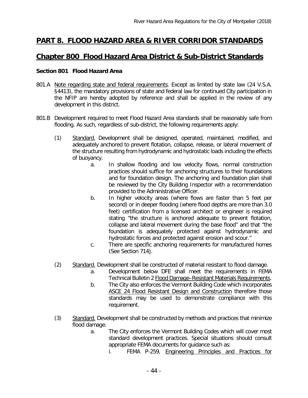### **PART 8. FLOOD HAZARD AREA & RIVER CORRIDOR STANDARDS**

### **Chapter 800 Flood Hazard Area District & Sub-District Standards**

### **Section 801 Flood Hazard Area**

- 801.A Note regarding state and federal requirements. Except as limited by state law (24 V.S.A. §4413), the mandatory provisions of state and federal law for continued City participation in the NFIP are hereby adopted by reference and shall be applied in the review of any development in this district.
- 801.B Development required to meet Flood Hazard Area standards shall be reasonably safe from flooding. As such, regardless of sub-district, the following requirements apply:
	- (1) Standard. Development shall be designed, operated, maintained, modified, and adequately anchored to prevent flotation, collapse, release, or lateral movement of the structure resulting from hydrodynamic and hydrostatic loads including the effects of buoyancy.
		- a. In shallow flooding and low velocity flows, normal construction practices should suffice for anchoring structures to their foundations and for foundation design. The anchoring and foundation plan shall be reviewed by the City Building Inspector with a recommendation provided to the Administrative Officer.
		- b. In higher velocity areas (where flows are faster than 5 feet per second) or in deeper flooding (where flood depths are more than 3.0 feet) certification from a licensed architect or engineer is required stating "the structure is anchored adequate to prevent flotation, collapse and lateral movement during the base flood" and that "the foundation is adequately protected against hydrodynamic and hydrostatic forces and protected against erosion and scour."
		- c. There are specific anchoring requirements for manufactured homes (See Section 714).
	- (2) Standard. Development shall be constructed of material resistant to flood damage.
		- a. Development below DFE shall meet the requirements in FEMA Technical Bulletin 2 Flood Damage–Resistant Materials Requirements.
		- b. The City also enforces the Vermont Building Code which incorporates ASCE 24 Flood Resistant Design and Construction therefore those standards may be used to demonstrate compliance with this requirement.
	- (3) Standard. Development shall be constructed by methods and practices that minimize flood damage.
		- a. The City enforces the Vermont Building Codes which will cover most standard development practices. Special situations should consult appropriate FEMA documents for guidance such as:
			- i. FEMA P-259, Engineering Principles and Practices for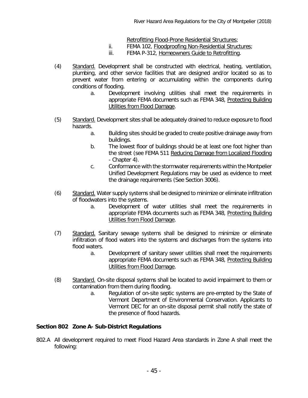Retrofitting Flood-Prone Residential Structures;

- ii. FEMA 102, Floodproofing Non-Residential Structures;<br>iii. FEMA P-312, Homeowners Guide to Retrofitting.
- FEMA P-312, Homeowners Guide to Retrofitting.
- (4) Standard. Development shall be constructed with electrical, heating, ventilation, plumbing, and other service facilities that are designed and/or located so as to prevent water from entering or accumulating within the components during conditions of flooding.
	- a. Development involving utilities shall meet the requirements in appropriate FEMA documents such as FEMA 348, Protecting Building Utilities from Flood Damage.
- (5) Standard. Development sites shall be adequately drained to reduce exposure to flood hazards.
	- a. Building sites should be graded to create positive drainage away from buildings.
	- b. The lowest floor of buildings should be at least one foot higher than the street (see FEMA 511 Reducing Damage from Localized Flooding - Chapter 4).
	- c. Conformance with the stormwater requirements within the Montpelier Unified Development Regulations may be used as evidence to meet the drainage requirements (See Section 3006).
- (6) Standard. Water supply systems shall be designed to minimize or eliminate infiltration of floodwaters into the systems.
	- a. Development of water utilities shall meet the requirements in appropriate FEMA documents such as FEMA 348, Protecting Building Utilities from Flood Damage.
- (7) Standard. Sanitary sewage systems shall be designed to minimize or eliminate infiltration of flood waters into the systems and discharges from the systems into flood waters.
	- a. Development of sanitary sewer utilities shall meet the requirements appropriate FEMA documents such as FEMA 348, Protecting Building Utilities from Flood Damage.
- (8) Standard. On-site disposal systems shall be located to avoid impairment to them or contamination from them during flooding.
	- a. Regulation of on-site septic systems are pre-empted by the State of Vermont Department of Environmental Conservation. Applicants to Vermont DEC for an on-site disposal permit shall notify the state of the presence of flood hazards.

### **Section 802 Zone A- Sub-District Regulations**

802.A All development required to meet Flood Hazard Area standards in Zone A shall meet the following: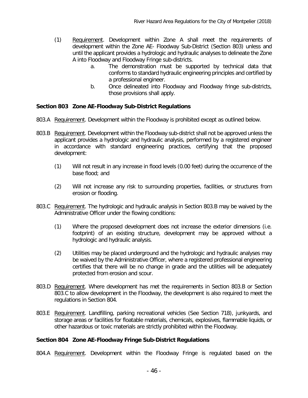- (1) Requirement. Development within Zone A shall meet the requirements of development within the Zone AE- Floodway Sub-District (Section 803) unless and until the applicant provides a hydrologic and hydraulic analyses to delineate the Zone A into Floodway and Floodway Fringe sub-districts.
	- a. The demonstration must be supported by technical data that conforms to standard hydraulic engineering principles and certified by a professional engineer.
	- b. Once delineated into Floodway and Floodway fringe sub-districts, those provisions shall apply.

### **Section 803 Zone AE-Floodway Sub-District Regulations**

- 803.A Requirement. Development within the Floodway is prohibited except as outlined below.
- 803.B Requirement. Development within the Floodway sub-district shall not be approved unless the applicant provides a hydrologic and hydraulic analysis, performed by a registered engineer in accordance with standard engineering practices, certifying that the proposed development:
	- (1) Will not result in any increase in flood levels (0.00 feet) during the occurrence of the base flood; and
	- (2) Will not increase any risk to surrounding properties, facilities, or structures from erosion or flooding.
- 803.C Requirement. The hydrologic and hydraulic analysis in Section 803.B may be waived by the Administrative Officer under the flowing conditions:
	- (1) Where the proposed development does not increase the exterior dimensions (i.e. footprint) of an existing structure, development may be approved without a hydrologic and hydraulic analysis.
	- (2) Utilities may be placed underground and the hydrologic and hydraulic analyses may be waived by the Administrative Officer, where a registered professional engineering certifies that there will be no change in grade and the utilities will be adequately protected from erosion and scour.
- 803.D Requirement. Where development has met the requirements in Section 803.B or Section 803.C to allow development in the Floodway, the development is also required to meet the regulations in Section 804.
- 803.E Requirement. Landfilling, parking recreational vehicles (See Section 718), junkyards, and storage areas or facilities for floatable materials, chemicals, explosives, flammable liquids, or other hazardous or toxic materials are strictly prohibited within the Floodway.

### **Section 804 Zone AE-Floodway Fringe Sub-District Regulations**

804.A Requirement. Development within the Floodway Fringe is regulated based on the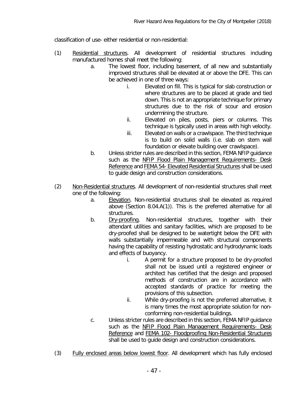classification of use- either residential or non-residential:

- (1) Residential structures. All development of residential structures including manufactured homes shall meet the following:
	- a. The lowest floor, including basement, of all new and substantially improved structures shall be elevated at or above the DFE. This can be achieved in one of three ways:
		- i. Elevated on fill. This is typical for slab construction or where structures are to be placed at grade and tied down. This is not an appropriate technique for primary structures due to the risk of scour and erosion undermining the structure.
		- ii. Elevated on piles, posts, piers or columns. This technique is typically used in areas with high velocity.
		- iii. Elevated on walls or a crawlspace. The third technique is to build on solid walls (i.e. slab on stem wall foundation or elevate building over crawlspace).
	- b. Unless stricter rules are described in this section, FEMA NFIP guidance such as the NFIP Flood Plain Management Requirements- Desk Reference and FEMA 54- Elevated Residential Structures shall be used to guide design and construction considerations.
- (2) Non-Residential structures. All development of non-residential structures shall meet one of the following:
	- a. Elevation. Non-residential structures shall be elevated as required above (Section 8.04.A(1)). This is the preferred alternative for all structures.
	- b. Dry-proofing. Non-residential structures, together with their attendant utilities and sanitary facilities, which are proposed to be dry-proofed shall be designed to be watertight below the DFE with walls substantially impermeable and with structural components having the capability of resisting hydrostatic and hydrodynamic loads and effects of buoyancy.
		- i. A permit for a structure proposed to be dry-proofed shall not be issued until a registered engineer or architect has certified that the design and proposed methods of construction are in accordance with accepted standards of practice for meeting the provisions of this subsection.
		- ii. While dry-proofing is not the preferred alternative, it is many times the most appropriate solution for nonconforming non-residential buildings.
	- c. Unless stricter rules are described in this section, FEMA NFIP guidance such as the NFIP Flood Plain Management Requirements- Desk Reference and FEMA 102- Floodproofing Non-Residential Structures shall be used to guide design and construction considerations.
- (3) Fully enclosed areas below lowest floor. All development which has fully enclosed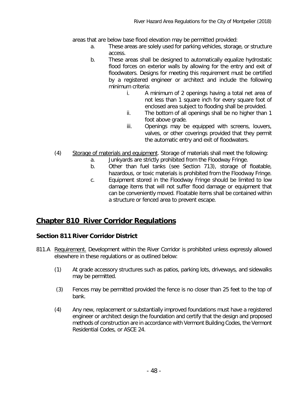areas that are below base flood elevation may be permitted provided:

- a. These areas are solely used for parking vehicles, storage, or structure access.
- b. These areas shall be designed to automatically equalize hydrostatic flood forces on exterior walls by allowing for the entry and exit of floodwaters. Designs for meeting this requirement must be certified by a registered engineer or architect and include the following minimum criteria:
	- i. A minimum of 2 openings having a total net area of not less than 1 square inch for every square foot of enclosed area subject to flooding shall be provided.
	- ii. The bottom of all openings shall be no higher than 1 foot above grade.
	- iii. Openings may be equipped with screens, louvers, valves, or other coverings provided that they permit the automatic entry and exit of floodwaters.
- (4) Storage of materials and equipment. Storage of materials shall meet the following:
	- a. Junkyards are strictly prohibited from the Floodway Fringe.
	- b. Other than fuel tanks (see Section 713), storage of floatable, hazardous, or toxic materials is prohibited from the Floodway Fringe.
	- c. Equipment stored in the Floodway Fringe should be limited to low damage items that will not suffer flood damage or equipment that can be conveniently moved. Floatable items shall be contained within a structure or fenced area to prevent escape.

### **Chapter 810 River Corridor Regulations**

### **Section 811 River Corridor District**

- 811.A Requirement. Development within the River Corridor is prohibited unless expressly allowed elsewhere in these regulations or as outlined below:
	- (1) At grade accessory structures such as patios, parking lots, driveways, and sidewalks may be permitted.
	- (3) Fences may be permitted provided the fence is no closer than 25 feet to the top of bank.
	- (4) Any new, replacement or substantially improved foundations must have a registered engineer or architect design the foundation and certify that the design and proposed methods of construction are in accordance with Vermont Building Codes, the Vermont Residential Codes, or ASCE 24.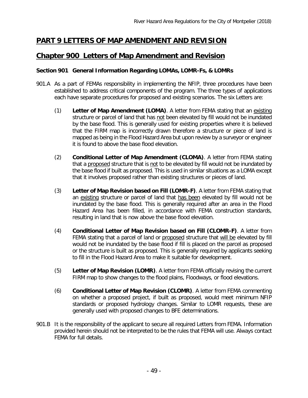### **PART 9 LETTERS OF MAP AMENDMENT AND REVISION**

### **Chapter 900 Letters of Map Amendment and Revision**

### **Section 901 General Information Regarding LOMAs, LOMR-Fs, & LOMRs**

- 901.A As a part of FEMAs responsibility in implementing the NFIP, three procedures have been established to address critical components of the program. The three types of applications each have separate procedures for proposed and existing scenarios. The six Letters are:
	- (1) **Letter of Map Amendment (LOMA)**. A letter from FEMA stating that an existing structure or parcel of land that has not been elevated by fill would not be inundated by the base flood. This is generally used for existing properties where it is believed that the FIRM map is incorrectly drawn therefore a structure or piece of land is mapped as being in the Flood Hazard Area but upon review by a surveyor or engineer it is found to above the base flood elevation.
	- (2) **Conditional Letter of Map Amendment (CLOMA)**. A letter from FEMA stating that a proposed structure that is not to be elevated by fill would not be inundated by the base flood if built as proposed. This is used in similar situations as a LOMA except that it involves proposed rather than existing structures or pieces of land.
	- (3) **Letter of Map Revision based on Fill (LOMR-F)**. A letter from FEMA stating that an existing structure or parcel of land that has been elevated by fill would not be inundated by the base flood. This is generally required after an area in the Flood Hazard Area has been filled, in accordance with FEMA construction standards, resulting in land that is now above the base flood elevation.
	- (4) **Conditional Letter of Map Revision based on Fill (CLOMR-F)**. A letter from FEMA stating that a parcel of land or proposed structure that will be elevated by fill would not be inundated by the base flood if fill is placed on the parcel as proposed or the structure is built as proposed. This is generally required by applicants seeking to fill in the Flood Hazard Area to make it suitable for development.
	- (5) **Letter of Map Revision (LOMR)**. A letter from FEMA officially revising the current FIRM map to show changes to the flood plains, Floodways, or flood elevations.
	- (6) **Conditional Letter of Map Revision (CLOMR)**. A letter from FEMA commenting on whether a proposed project, if built as proposed, would meet minimum NFIP standards or proposed hydrology changes. Similar to LOMR requests, these are generally used with proposed changes to BFE determinations.
- 901.B It is the responsibility of the applicant to secure all required Letters from FEMA. Information provided herein should not be interpreted to be the rules that FEMA will use. Always contact FEMA for full details.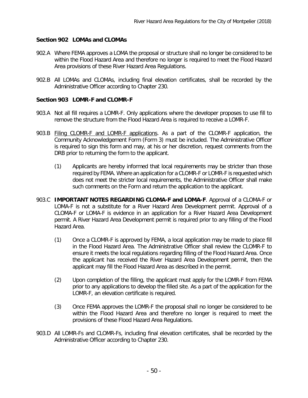### **Section 902 LOMAs and CLOMAs**

- 902.A Where FEMA approves a LOMA the proposal or structure shall no longer be considered to be within the Flood Hazard Area and therefore no longer is required to meet the Flood Hazard Area provisions of these River Hazard Area Regulations.
- 902.B All LOMAs and CLOMAs, including final elevation certificates, shall be recorded by the Administrative Officer according to Chapter 230.

### **Section 903 LOMR-F and CLOMR-F**

- 903.A Not all fill requires a LOMR-F. Only applications where the developer proposes to use fill to remove the structure from the Flood Hazard Area is required to receive a LOMR-F.
- 903.B Filing CLOMR-F and LOMR-F applications. As a part of the CLOMR-F application, the Community Acknowledgement Form (Form 3) must be included. The Administrative Officer is required to sign this form and may, at his or her discretion, request comments from the DRB prior to returning the form to the applicant.
	- (1) Applicants are hereby informed that local requirements may be stricter than those required by FEMA. Where an application for a CLOMR-F or LOMR-F is requested which does not meet the stricter local requirements, the Administrative Officer shall make such comments on the Form and return the application to the applicant.
- 903.C **IMPORTANT NOTES REGARDING CLOMA-F and LOMA-F**. Approval of a CLOMA-F or LOMA-F is not a substitute for a River Hazard Area Development permit. Approval of a CLOMA-F or LOMA-F is evidence in an application for a River Hazard Area Development permit. A River Hazard Area Development permit is required prior to any filling of the Flood Hazard Area.
	- (1) Once a CLOMR-F is approved by FEMA, a local application may be made to place fill in the Flood Hazard Area. The Administrative Officer shall review the CLOMR-F to ensure it meets the local regulations regarding filling of the Flood Hazard Area. Once the applicant has received the River Hazard Area Development permit, then the applicant may fill the Flood Hazard Area as described in the permit.
	- (2) Upon completion of the filling, the applicant must apply for the LOMR-F from FEMA prior to any applications to develop the filled site. As a part of the application for the LOMR-F, an elevation certificate is required.
	- (3) Once FEMA approves the LOMR-F the proposal shall no longer be considered to be within the Flood Hazard Area and therefore no longer is required to meet the provisions of these Flood Hazard Area Regulations.
- 903.D All LOMR-Fs and CLOMR-Fs, including final elevation certificates, shall be recorded by the Administrative Officer according to Chapter 230.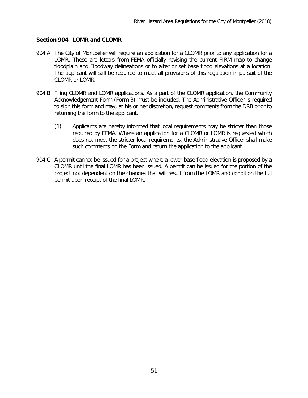### **Section 904 LOMR and CLOMR**

- 904.A The City of Montpelier will require an application for a CLOMR prior to any application for a LOMR. These are letters from FEMA officially revising the current FIRM map to change floodplain and Floodway delineations or to alter or set base flood elevations at a location. The applicant will still be required to meet all provisions of this regulation in pursuit of the CLOMR or LOMR.
- 904.B Filing CLOMR and LOMR applications. As a part of the CLOMR application, the Community Acknowledgement Form (Form 3) must be included. The Administrative Officer is required to sign this form and may, at his or her discretion, request comments from the DRB prior to returning the form to the applicant.
	- (1) Applicants are hereby informed that local requirements may be stricter than those required by FEMA. Where an application for a CLOMR or LOMR is requested which does not meet the stricter local requirements, the Administrative Officer shall make such comments on the Form and return the application to the applicant.
- 904.C A permit cannot be issued for a project where a lower base flood elevation is proposed by a CLOMR until the final LOMR has been issued. A permit can be issued for the portion of the project not dependent on the changes that will result from the LOMR and condition the full permit upon receipt of the final LOMR.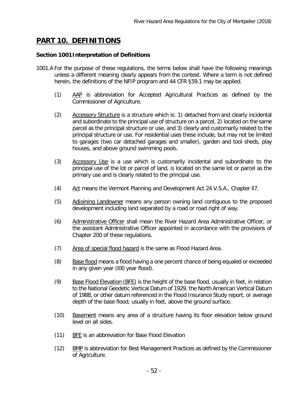### **PART 10. DEFINITIONS**

#### **Section 1001Interpretation of Definitions**

- 1001.A For the purpose of these regulations, the terms below shall have the following meanings unless a different meaning clearly appears from the context. Where a term is not defined herein, the definitions of the NFIP program and 44 CFR §59.1 may be applied.
	- (1) AAP is abbreviation for Accepted Agricultural Practices as defined by the Commissioner of Agriculture.
	- (2) Accessory Structure is a structure which is: 1) detached from and clearly incidental and subordinate to the principal use of structure on a parcel, 2) located on the same parcel as the principal structure or use, and 3) clearly and customarily related to the principal structure or use. For residential uses these include, but may not be limited to garages (two car detached garages and smaller), garden and tool sheds, play houses, and above ground swimming pools.
	- (3) Accessory Use is a use which is customarily incidental and subordinate to the principal use of the lot or parcel of land, is located on the same lot or parcel as the primary use and is clearly related to the principal use.
	- (4) Act means the Vermont Planning and Development Act 24 V.S.A., Chapter II7.
	- (5) Adjoining Landowner means any person owning land contiguous to the proposed development including land separated by a road or road right of way.
	- (6) Administrative Officer shall mean the River Hazard Area Administrative Officer, or the assistant Administrative Officer appointed in accordance with the provisions of Chapter 200 of these regulations.
	- (7) Area of special flood hazard is the same as Flood Hazard Area.
	- (8) Base flood means a flood having a one percent chance of being equaled or exceeded in any given year (l00 year flood).
	- (9) Base Flood Elevation (BFE) is the height of the base flood, usually in feet, in relation to the National Geodetic Vertical Datum of 1929, the North American Vertical Datum of 1988, or other datum referenced in the Flood Insurance Study report, or average depth of the base flood, usually in feet, above the ground surface.
	- (10) Basement means any area of a structure having its floor elevation below ground level on all sides.
	- (11) BFE is an abbreviation for Base Flood Elevation
	- (12) BMP is abbreviation for Best Management Practices as defined by the Commissioner of Agriculture.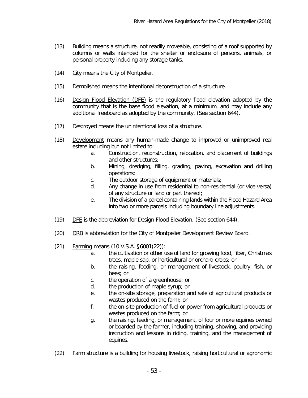- (13) Building means a structure, not readily moveable, consisting of a roof supported by columns or walls intended for the shelter or enclosure of persons, animals, or personal property including any storage tanks.
- (14) City means the City of Montpelier.
- (15) Demolished means the intentional deconstruction of a structure.
- (16) Design Flood Elevation (DFE) is the regulatory flood elevation adopted by the community that is the base flood elevation, at a minimum, and may include any additional freeboard as adopted by the community. (See section 644).
- (17) Destroyed means the unintentional loss of a structure.
- (18) Development means any human-made change to improved or unimproved real estate including but not limited to:
	- a. Construction, reconstruction, relocation, and placement of buildings and other structures;
	- b. Mining, dredging, filling, grading, paving, excavation and drilling operations;
	- c. The outdoor storage of equipment or materials;
	- d. Any change in use from residential to non-residential (or vice versa) of any structure or land or part thereof;
	- e. The division of a parcel containing lands within the Flood Hazard Area into two or more parcels including boundary line adjustments.
- (19) DFE is the abbreviation for Design Flood Elevation. (See section 644).
- (20) DRB is abbreviation for the City of Montpelier Development Review Board.
- (21) Farming means (10 V.S.A. §6001(22)):
	- a. the cultivation or other use of land for growing food, fiber, Christmas trees, maple sap, or horticultural or orchard crops; or
	- b. the raising, feeding, or management of livestock, poultry, fish, or bees; or
	- c. the operation of a greenhouse; or
	- d. the production of maple syrup; or
	- e. the on-site storage, preparation and sale of agricultural products or wastes produced on the farm; or
	- f. the on-site production of fuel or power from agricultural products or wastes produced on the farm; or
	- g. the raising, feeding, or management, of four or more equines owned or boarded by the farmer, including training, showing, and providing instruction and lessons in riding, training, and the management of equines.
- (22) Farm structure is a building for housing livestock, raising horticultural or agronomic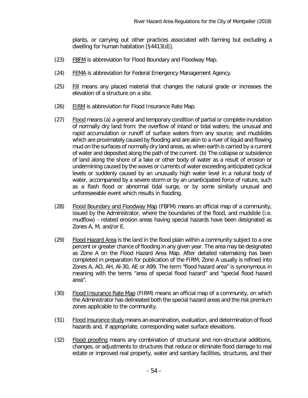plants, or carrying out other practices associated with farming but excluding a dwelling for human habitation [§4413(d)].

- (23) FBFM is abbreviation for Flood Boundary and Floodway Map.
- (24) FEMA is abbreviation for Federal Emergency Management Agency.
- (25) Fill means any placed material that changes the natural grade or increases the elevation of a structure on a site.
- (26) FIRM is abbreviation for Flood Insurance Rate Map.
- (27) Flood means (a) a general and temporary condition of partial or complete inundation of normally dry land from: the overflow of inland or tidal waters; the unusual and rapid accumulation or runoff of surface waters from any source; and mudslides which are proximately caused by flooding and are akin to a river of liquid and flowing mud on the surfaces of normally dry land areas, as when earth is carried by a current of water and deposited along the path of the current. (b) The collapse or subsidence of land along the shore of a lake or other body of water as a result of erosion or undermining caused by the waves or currents of water exceeding anticipated cyclical levels or suddenly caused by an unusually high water level in a natural body of water, accompanied by a severe storm or by an unanticipated force of nature, such as a flash flood or abnormal tidal surge, or by some similarly unusual and unforeseeable event which results in flooding.
- (28) Flood Boundary and Floodway Map (FBFM) means an official map of a community, issued by the Administrator, where the boundaries of the flood, and mudslide (i.e. mudflow) - related erosion areas having special hazards have been designated as Zones A, M, and/or E.
- (29) Flood Hazard Area is the land in the flood plain within a community subject to a one percent or greater chance of flooding in any given year. The area may be designated as Zone A on the Flood Hazard Area Map. After detailed ratemaking has been completed in preparation for publication of the FIRM, Zone A usually is refined into Zones A, AO, AH, Al-30, AE or A99. The term "flood hazard area" is synonymous in meaning with the terms "area of special flood hazard" and "special flood hazard area".
- (30) Flood Insurance Rate Map (FIRM) means an official map of a community, on which the Administrator has delineated both the special hazard areas and the risk premium zones applicable to the community.
- (31) Flood insurance study means an examination, evaluation, and determination of flood hazards and, if appropriate, corresponding water surface elevations.
- (32) Flood proofing means any combination of structural and non-structural additions, changes, or adjustments to structures that reduce or eliminate flood damage to real estate or improved real property, water and sanitary facilities, structures, and their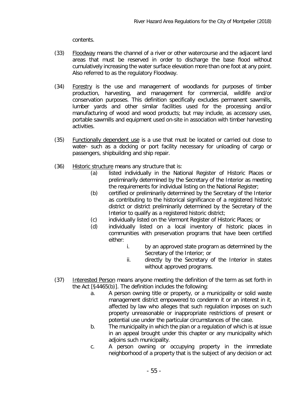contents.

- (33) Floodway means the channel of a river or other watercourse and the adjacent land areas that must be reserved in order to discharge the base flood without cumulatively increasing the water surface elevation more than one foot at any point. Also referred to as the regulatory Floodway.
- (34) Forestry is the use and management of woodlands for purposes of timber production, harvesting, and management for commercial, wildlife and/or conservation purposes. This definition specifically excludes permanent sawmills, lumber yards and other similar facilities used for the processing and/or manufacturing of wood and wood products; but may include, as accessory uses, portable sawmills and equipment used on-site in association with timber harvesting activities.
- (35) Functionally dependent use is a use that must be located or carried out close to water- such as a docking or port facility necessary for unloading of cargo or passengers, shipbuilding and ship repair.
- (36) Historic structure means any structure that is:
	- (a) listed individually in the National Register of Historic Places or preliminarily determined by the Secretary of the Interior as meeting the requirements for individual listing on the National Register;
	- (b) certified or preliminarily determined by the Secretary of the Interior as contributing to the historical significance of a registered historic district or district preliminarily determined by the Secretary of the Interior to qualify as a registered historic district;
	- (c) individually listed on the Vermont Register of Historic Places; or
	- (d) individually listed on a local inventory of historic places in communities with preservation programs that have been certified either:
		- i. by an approved state program as determined by the Secretary of the Interior; or
		- ii. directly by the Secretary of the Interior in states without approved programs.
- (37) Interested Person means anyone meeting the definition of the term as set forth in the Act [§4465(b)]. The definition includes the following:
	- a. A person owning title or property, or a municipality or solid waste management district empowered to condemn it or an interest in it, affected by law who alleges that such regulation imposes on such property unreasonable or inappropriate restrictions of present or potential use under the particular circumstances of the case.
	- b. The municipality in which the plan or a regulation of which is at issue in an appeal brought under this chapter or any municipality which adjoins such municipality.
	- c. A person owning or occupying property in the immediate neighborhood of a property that is the subject of any decision or act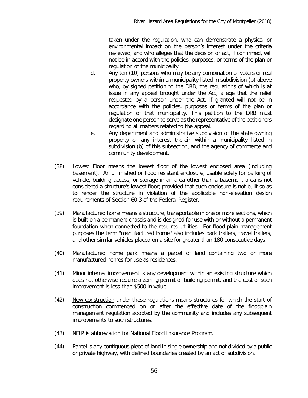taken under the regulation, who can demonstrate a physical or environmental impact on the person's interest under the criteria reviewed, and who alleges that the decision or act, if confirmed, will not be in accord with the policies, purposes, or terms of the plan or regulation of the municipality.

- d. Any ten (10) persons who may be any combination of voters or real property owners within a municipality listed in subdivision (b) above who, by signed petition to the DRB, the regulations of which is at issue in any appeal brought under the Act, allege that the relief requested by a person under the Act, if granted will not be in accordance with the policies, purposes or terms of the plan or regulation of that municipality. This petition to the DRB must designate one person to serve as the representative of the petitioners regarding all matters related to the appeal.
- e. Any department and administrative subdivision of the state owning property or any interest therein within a municipality listed in subdivision (b) of this subsection, and the agency of commerce and community development.
- (38) Lowest Floor means the lowest floor of the lowest enclosed area (including basement). An unfinished or flood resistant enclosure, usable solely for parking of vehicle, building access, or storage in an area other than a basement area is not considered a structure's lowest floor; provided that such enclosure is not built so as to render the structure in violation of the applicable non-elevation design requirements of Section 60.3 of the Federal Register.
- (39) Manufactured home means a structure, transportable in one or more sections, which is built on a permanent chassis and is designed for use with or without a permanent foundation when connected to the required utilities. For flood plain management purposes the term "manufactured home" also includes park trailers, travel trailers, and other similar vehicles placed on a site for greater than 180 consecutive days.
- (40) Manufactured home park means a parcel of land containing two or more manufactured homes for use as residences.
- (41) Minor internal improvement is any development within an existing structure which does not otherwise require a zoning permit or building permit, and the cost of such improvement is less than \$500 in value.
- (42) New construction under these regulations means structures for which the start of construction commenced on or after the effective date of the floodplain management regulation adopted by the community and includes any subsequent improvements to such structures.
- (43) NFIP is abbreviation for National Flood Insurance Program.
- (44) Parcel is any contiguous piece of land in single ownership and not divided by a public or private highway, with defined boundaries created by an act of subdivision.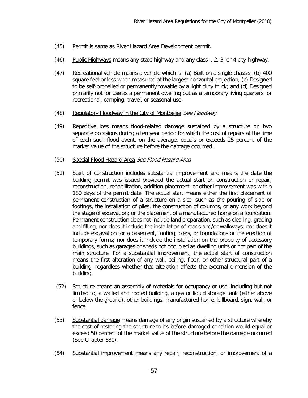- (45) Permit is same as River Hazard Area Development permit.
- (46) Public Highways means any state highway and any class I, 2, 3, or 4 city highway.
- (47) Recreational vehicle means a vehicle which is: (a) Built on a single chassis; (b) 400 square feet or less when measured at the largest horizontal projection; (c) Designed to be self-propelled or permanently towable by a light duty truck; and (d) Designed primarily not for use as a permanent dwelling but as a temporary living quarters for recreational, camping, travel, or seasonal use.
- (48) Regulatory Floodway in the City of Montpelier See Floodway
- (49) Repetitive loss means flood-related damage sustained by a structure on two separate occasions during a ten year period for which the cost of repairs at the time of each such flood event, on the average, equals or exceeds 25 percent of the market value of the structure before the damage occurred.
- (50) Special Flood Hazard Area See Flood Hazard Area
- (51) Start of construction includes substantial improvement and means the date the building permit was issued provided the actual start on construction or repair, reconstruction, rehabilitation, addition placement, or other improvement was within 180 days of the permit date. The actual start means either the first placement of permanent construction of a structure on a site, such as the pouring of slab or footings, the installation of piles, the construction of columns, or any work beyond the stage of excavation; or the placement of a manufactured home on a foundation. Permanent construction does not include land preparation, such as clearing, grading and filling; nor does it include the installation of roads and/or walkways; nor does it include excavation for a basement, footing, piers, or foundations or the erection of temporary forms; nor does it include the installation on the property of accessory buildings, such as garages or sheds not occupied as dwelling units or not part of the main structure. For a substantial improvement, the actual start of construction means the first alteration of any wall, ceiling, floor, or other structural part of a building, regardless whether that alteration affects the external dimension of the building.
- (52) Structure means an assembly of materials for occupancy or use, including but not limited to, a walled and roofed building, a gas or liquid storage tank (either above or below the ground), other buildings, manufactured home, billboard, sign, wall, or fence.
- (53) Substantial damage means damage of any origin sustained by a structure whereby the cost of restoring the structure to its before-damaged condition would equal or exceed 50 percent of the market value of the structure before the damage occurred (See Chapter 630).
- (54) Substantial improvement means any repair, reconstruction, or improvement of a